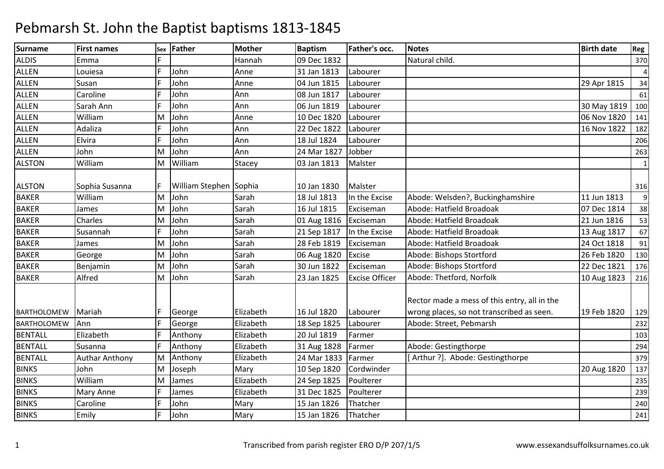| <b>Surname</b>     | <b>First names</b>    | Sex | <b>Father</b>          | <b>Mother</b> | <b>Baptism</b> | Father's occ.         | <b>Notes</b>                                                                              | <b>Birth date</b> | Reg            |
|--------------------|-----------------------|-----|------------------------|---------------|----------------|-----------------------|-------------------------------------------------------------------------------------------|-------------------|----------------|
| <b>ALDIS</b>       | Emma                  |     |                        | Hannah        | 09 Dec 1832    |                       | Natural child.                                                                            |                   | 370            |
| <b>ALLEN</b>       | Louiesa               |     | John                   | Anne          | 31 Jan 1813    | Labourer              |                                                                                           |                   | $\overline{4}$ |
| <b>ALLEN</b>       | Susan                 |     | John                   | Anne          | 04 Jun 1815    | Labourer              |                                                                                           | 29 Apr 1815       | 34             |
| <b>ALLEN</b>       | Caroline              |     | John                   | Ann           | 08 Jun 1817    | Labourer              |                                                                                           |                   | 61             |
| <b>ALLEN</b>       | Sarah Ann             |     | John                   | Ann           | 06 Jun 1819    | Labourer              |                                                                                           | 30 May 1819       | 100            |
| <b>ALLEN</b>       | William               | M   | John                   | Anne          | 10 Dec 1820    | Labourer              |                                                                                           | 06 Nov 1820       | 141            |
| <b>ALLEN</b>       | Adaliza               |     | John                   | Ann           | 22 Dec 1822    | Labourer              |                                                                                           | 16 Nov 1822       | 182            |
| <b>ALLEN</b>       | Elvira                |     | John                   | Ann           | 18 Jul 1824    | Labourer              |                                                                                           |                   | 206            |
| <b>ALLEN</b>       | John                  | м   | John                   | Ann           | 24 Mar 1827    | Jobber                |                                                                                           |                   | 263            |
| <b>ALSTON</b>      | William               | M   | William                | Stacey        | 03 Jan 1813    | Malster               |                                                                                           |                   | $\mathbf{1}$   |
| <b>ALSTON</b>      | Sophia Susanna        |     | William Stephen Sophia |               | 10 Jan 1830    | Malster               |                                                                                           |                   | 316            |
| <b>BAKER</b>       | William               | M   | John                   | Sarah         | 18 Jul 1813    | In the Excise         | Abode: Welsden?, Buckinghamshire                                                          | 11 Jun 1813       | 9              |
| <b>BAKER</b>       | James                 | M   | John                   | Sarah         | 16 Jul 1815    | Exciseman             | Abode: Hatfield Broadoak                                                                  | 07 Dec 1814       | 38             |
| <b>BAKER</b>       | Charles               | M   | John                   | Sarah         | 01 Aug 1816    | Exciseman             | Abode: Hatfield Broadoak                                                                  | 21 Jun 1816       | 53             |
| <b>BAKER</b>       | Susannah              |     | John                   | Sarah         | 21 Sep 1817    | In the Excise         | Abode: Hatfield Broadoak                                                                  | 13 Aug 1817       | 67             |
| <b>BAKER</b>       | James                 | M   | John                   | Sarah         | 28 Feb 1819    | Exciseman             | Abode: Hatfield Broadoak                                                                  | 24 Oct 1818       | 91             |
| <b>BAKER</b>       | George                | м   | John                   | Sarah         | 06 Aug 1820    | Excise                | Abode: Bishops Stortford                                                                  | 26 Feb 1820       | 130            |
| <b>BAKER</b>       | Benjamin              | M   | John                   | Sarah         | 30 Jun 1822    | Exciseman             | Abode: Bishops Stortford                                                                  | 22 Dec 1821       | 176            |
| <b>BAKER</b>       | Alfred                | M   | John                   | Sarah         | 23 Jan 1825    | <b>Excise Officer</b> | Abode: Thetford, Norfolk                                                                  | 10 Aug 1823       | 216            |
| <b>BARTHOLOMEW</b> | Mariah                |     | George                 | Elizabeth     | 16 Jul 1820    | Labourer              | Rector made a mess of this entry, all in the<br>wrong places, so not transcribed as seen. | 19 Feb 1820       | 129            |
| <b>BARTHOLOMEW</b> | Ann                   |     | George                 | Elizabeth     | 18 Sep 1825    | Labourer              | Abode: Street, Pebmarsh                                                                   |                   | 232            |
| <b>BENTALL</b>     | Elizabeth             |     | Anthony                | Elizabeth     | 20 Jul 1819    | Farmer                |                                                                                           |                   | 103            |
| <b>BENTALL</b>     | Susanna               |     | Anthony                | Elizabeth     | 31 Aug 1828    | Farmer                | Abode: Gestingthorpe                                                                      |                   | 294            |
| <b>BENTALL</b>     | <b>Authar Anthony</b> | M   | Anthony                | Elizabeth     | 24 Mar 1833    | Farmer                | [Arthur ?]. Abode: Gestingthorpe                                                          |                   | 379            |
| <b>BINKS</b>       | John                  | М   | Joseph                 | Mary          | 10 Sep 1820    | Cordwinder            |                                                                                           | 20 Aug 1820       | 137            |
| <b>BINKS</b>       | William               | M   | James                  | Elizabeth     | 24 Sep 1825    | Poulterer             |                                                                                           |                   | 235            |
| <b>BINKS</b>       | Mary Anne             |     | James                  | Elizabeth     | 31 Dec 1825    | Poulterer             |                                                                                           |                   | 239            |
| <b>BINKS</b>       | Caroline              |     | John                   | Mary          | 15 Jan 1826    | Thatcher              |                                                                                           |                   | 240            |
| <b>BINKS</b>       | Emily                 |     | John                   | Mary          | 15 Jan 1826    | Thatcher              |                                                                                           |                   | 241            |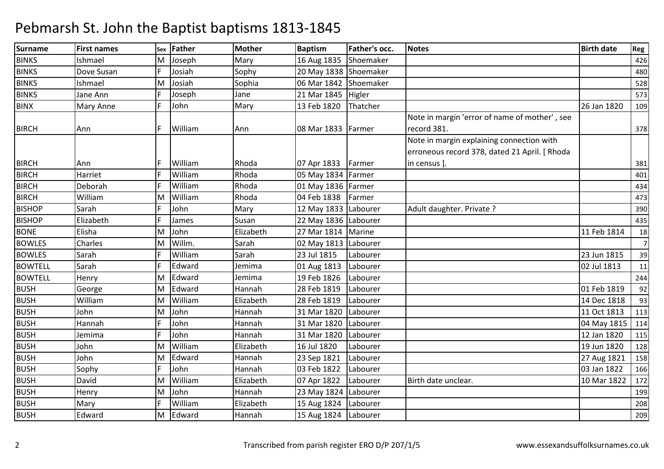| <b>Surname</b> | <b>First names</b> | Sex | <b>Father</b> | Mother    | <b>Baptism</b>        | Father's occ. | <b>Notes</b>                                  | <b>Birth date</b> | Reg            |
|----------------|--------------------|-----|---------------|-----------|-----------------------|---------------|-----------------------------------------------|-------------------|----------------|
| <b>BINKS</b>   | Ishmael            | м   | Joseph        | Mary      | 16 Aug 1835           | Shoemaker     |                                               |                   | 426            |
| <b>BINKS</b>   | Dove Susan         |     | Josiah        | Sophy     | 20 May 1838 Shoemaker |               |                                               |                   | 480            |
| <b>BINKS</b>   | Ishmael            | M   | Josiah        | Sophia    | 06 Mar 1842           | Shoemaker     |                                               |                   | 528            |
| <b>BINKS</b>   | Jane Ann           |     | Joseph        | Jane      | 21 Mar 1845           | Higler        |                                               |                   | 573            |
| <b>BINX</b>    | Mary Anne          | F.  | John          | Mary      | 13 Feb 1820           | Thatcher      |                                               | 26 Jan 1820       | 109            |
|                |                    |     |               |           |                       |               | Note in margin 'error of name of mother', see |                   |                |
| <b>BIRCH</b>   | Ann                | F.  | William       | Ann       | 08 Mar 1833           | Farmer        | record 381.                                   |                   | 378            |
|                |                    |     |               |           |                       |               | Note in margin explaining connection with     |                   |                |
|                |                    |     |               |           |                       |               | erroneous record 378, dated 21 April. [ Rhoda |                   |                |
| <b>BIRCH</b>   | Ann                |     | William       | Rhoda     | 07 Apr 1833           | Farmer        | in census ].                                  |                   | 381            |
| <b>BIRCH</b>   | Harriet            |     | William       | Rhoda     | 05 May 1834   Farmer  |               |                                               |                   | 401            |
| <b>BIRCH</b>   | Deborah            |     | William       | Rhoda     | 01 May 1836   Farmer  |               |                                               |                   | 434            |
| <b>BIRCH</b>   | William            | M   | William       | Rhoda     | 04 Feb 1838           | Farmer        |                                               |                   | 473            |
| <b>BISHOP</b>  | Sarah              |     | John          | Mary      | 12 May 1833 Labourer  |               | Adult daughter. Private ?                     |                   | 390            |
| <b>BISHOP</b>  | Elizabeth          |     | James         | Susan     | 22 May 1836 Labourer  |               |                                               |                   | 435            |
| <b>BONE</b>    | Elisha             | M   | John          | Elizabeth | 27 Mar 1814           | Marine        |                                               | 11 Feb 1814       | 18             |
| <b>BOWLES</b>  | Charles            | м   | Willm.        | Sarah     | 02 May 1813 Labourer  |               |                                               |                   | $\overline{7}$ |
| <b>BOWLES</b>  | Sarah              |     | William       | Sarah     | 23 Jul 1815           | Labourer      |                                               | 23 Jun 1815       | 39             |
| <b>BOWTELL</b> | Sarah              |     | Edward        | Jemima    | 01 Aug 1813           | Labourer      |                                               | 02 Jul 1813       | 11             |
| <b>BOWTELL</b> | Henry              | M   | Edward        | Jemima    | 19 Feb 1826           | Labourer      |                                               |                   | 244            |
| <b>BUSH</b>    | George             | M   | Edward        | Hannah    | 28 Feb 1819           | Labourer      |                                               | 01 Feb 1819       | 92             |
| <b>BUSH</b>    | William            | M   | William       | Elizabeth | 28 Feb 1819           | Labourer      |                                               | 14 Dec 1818       | 93             |
| <b>BUSH</b>    | John               | м   | John          | Hannah    | 31 Mar 1820           | Labourer      |                                               | 11 Oct 1813       | 113            |
| <b>BUSH</b>    | Hannah             |     | John          | Hannah    | 31 Mar 1820           | Labourer      |                                               | 04 May 1815       | 114            |
| <b>BUSH</b>    | Jemima             |     | John          | Hannah    | 31 Mar 1820           | Labourer      |                                               | 12 Jan 1820       | 115            |
| <b>BUSH</b>    | John               | M   | William       | Elizabeth | 16 Jul 1820           | Labourer      |                                               | 19 Jun 1820       | 128            |
| <b>BUSH</b>    | John               | M   | Edward        | Hannah    | 23 Sep 1821           | Labourer      |                                               | 27 Aug 1821       | 158            |
| <b>BUSH</b>    | Sophy              |     | John          | Hannah    | 03 Feb 1822           | Labourer      |                                               | 03 Jan 1822       | 166            |
| <b>BUSH</b>    | David              | M   | William       | Elizabeth | 07 Apr 1822           | Labourer      | Birth date unclear.                           | 10 Mar 1822       | 172            |
| <b>BUSH</b>    | Henry              | м   | John          | Hannah    | 23 May 1824 Labourer  |               |                                               |                   | 199            |
| <b>BUSH</b>    | Mary               |     | William       | Elizabeth | 15 Aug 1824           | Labourer      |                                               |                   | 208            |
| <b>BUSH</b>    | Edward             | M   | Edward        | Hannah    | 15 Aug 1824           | Labourer      |                                               |                   | 209            |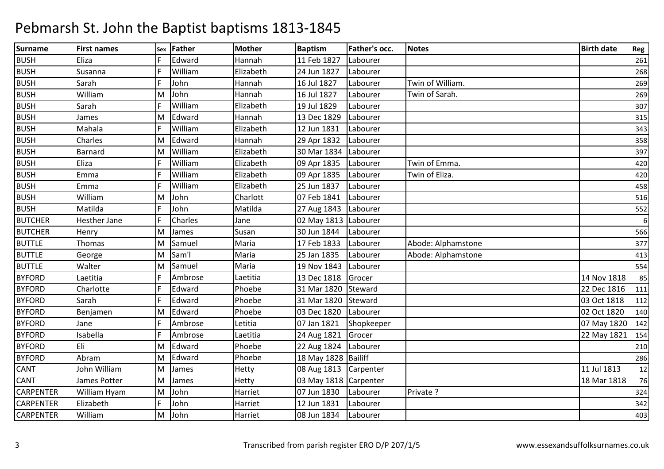| <b>Surname</b>   | <b>First names</b> | Sex | Father  | Mother       | <b>Baptism</b>         | Father's occ. | <b>Notes</b>       | <b>Birth date</b> | Reg        |
|------------------|--------------------|-----|---------|--------------|------------------------|---------------|--------------------|-------------------|------------|
| <b>BUSH</b>      | Eliza              |     | Edward  | Hannah       | 11 Feb 1827            | Labourer      |                    |                   | 261        |
| <b>BUSH</b>      | Susanna            |     | William | Elizabeth    | 24 Jun 1827            | Labourer      |                    |                   | 268        |
| <b>BUSH</b>      | Sarah              |     | John    | Hannah       | 16 Jul 1827            | Labourer      | Twin of William.   |                   | 269        |
| <b>BUSH</b>      | William            | M   | John    | Hannah       | 16 Jul 1827            | Labourer      | Twin of Sarah.     |                   | 269        |
| <b>BUSH</b>      | Sarah              |     | William | Elizabeth    | 19 Jul 1829            | Labourer      |                    |                   | 307        |
| <b>BUSH</b>      | James              | M   | Edward  | Hannah       | 13 Dec 1829            | Labourer      |                    |                   | 315        |
| <b>BUSH</b>      | Mahala             |     | William | Elizabeth    | 12 Jun 1831            | Labourer      |                    |                   | 343        |
| <b>BUSH</b>      | Charles            | M   | Edward  | Hannah       | 29 Apr 1832            | Labourer      |                    |                   | 358        |
| <b>BUSH</b>      | Barnard            | м   | William | Elizabeth    | 30 Mar 1834            | Labourer      |                    |                   | 397        |
| <b>BUSH</b>      | Eliza              |     | William | Elizabeth    | 09 Apr 1835            | Labourer      | Twin of Emma.      |                   | 420        |
| <b>BUSH</b>      | Emma               |     | William | Elizabeth    | 09 Apr 1835            | Labourer      | Twin of Eliza.     |                   | 420        |
| <b>BUSH</b>      | Emma               |     | William | Elizabeth    | 25 Jun 1837            | Labourer      |                    |                   | 458        |
| <b>BUSH</b>      | William            | M   | John    | Charlott     | 07 Feb 1841            | Labourer      |                    |                   | 516        |
| <b>BUSH</b>      | Matilda            |     | John    | Matilda      | 27 Aug 1843            | Labourer      |                    |                   | 552        |
| <b>BUTCHER</b>   | Hesther Jane       |     | Charles | Jane         | 02 May 1813   Labourer |               |                    |                   | $\sqrt{6}$ |
| <b>BUTCHER</b>   | Henry              | M   | James   | Susan        | 30 Jun 1844            | Labourer      |                    |                   | 566        |
| <b>BUTTLE</b>    | <b>Thomas</b>      | M   | Samuel  | Maria        | 17 Feb 1833            | Labourer      | Abode: Alphamstone |                   | 377        |
| <b>BUTTLE</b>    | George             | M   | Sam'l   | Maria        | 25 Jan 1835            | Labourer      | Abode: Alphamstone |                   | 413        |
| <b>BUTTLE</b>    | Walter             | M   | Samuel  | Maria        | 19 Nov 1843            | Labourer      |                    |                   | 554        |
| <b>BYFORD</b>    | Laetitia           |     | Ambrose | Laetitia     | 13 Dec 1818            | Grocer        |                    | 14 Nov 1818       | 85         |
| <b>BYFORD</b>    | Charlotte          |     | Edward  | Phoebe       | 31 Mar 1820            | Steward       |                    | 22 Dec 1816       | 111        |
| <b>BYFORD</b>    | Sarah              |     | Edward  | Phoebe       | 31 Mar 1820            | Steward       |                    | 03 Oct 1818       | 112        |
| <b>BYFORD</b>    | Benjamen           | M   | Edward  | Phoebe       | 03 Dec 1820            | Labourer      |                    | 02 Oct 1820       | 140        |
| <b>BYFORD</b>    | Jane               |     | Ambrose | Letitia      | 07 Jan 1821            | Shopkeeper    |                    | 07 May 1820       | 142        |
| <b>BYFORD</b>    | Isabella           |     | Ambrose | Laetitia     | 24 Aug 1821            | Grocer        |                    | 22 May 1821       | 154        |
| <b>BYFORD</b>    | Eli                | M   | Edward  | Phoebe       | 22 Aug 1824 Labourer   |               |                    |                   | 210        |
| <b>BYFORD</b>    | Abram              | M   | Edward  | Phoebe       | 18 May 1828 Bailiff    |               |                    |                   | 286        |
| <b>CANT</b>      | John William       | М   | James   | <b>Hetty</b> | 08 Aug 1813 Carpenter  |               |                    | 11 Jul 1813       | 12         |
| <b>CANT</b>      | James Potter       | М   | James   | Hetty        | 03 May 1818 Carpenter  |               |                    | 18 Mar 1818       | 76         |
| <b>CARPENTER</b> | William Hyam       | M   | John    | Harriet      | 07 Jun 1830            | Labourer      | Private ?          |                   | 324        |
| <b>CARPENTER</b> | Elizabeth          |     | John    | Harriet      | 12 Jun 1831            | Labourer      |                    |                   | 342        |
| <b>CARPENTER</b> | William            | M   | John    | Harriet      | 08 Jun 1834            | Labourer      |                    |                   | 403        |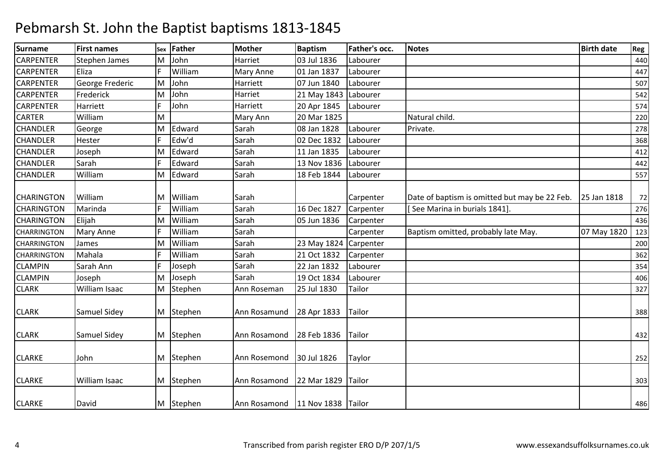| <b>Surname</b>     | <b>First names</b>   | Sex | <b>Father</b> | <b>Mother</b>    | <b>Baptism</b>        | Father's occ. | <b>Notes</b>                                  | <b>Birth date</b> | Reg |
|--------------------|----------------------|-----|---------------|------------------|-----------------------|---------------|-----------------------------------------------|-------------------|-----|
| <b>CARPENTER</b>   | <b>Stephen James</b> | М   | John          | Harriet          | 03 Jul 1836           | Labourer      |                                               |                   | 440 |
| <b>CARPENTER</b>   | Eliza                |     | William       | <b>Mary Anne</b> | 01 Jan 1837           | Labourer      |                                               |                   | 447 |
| <b>CARPENTER</b>   | George Frederic      | M   | John          | Harriett         | 07 Jun 1840           | Labourer      |                                               |                   | 507 |
| <b>CARPENTER</b>   | Frederick            | M   | John          | Harriet          | 21 May 1843           | Labourer      |                                               |                   | 542 |
| <b>CARPENTER</b>   | Harriett             |     | John          | Harriett         | 20 Apr 1845           | Labourer      |                                               |                   | 574 |
| <b>CARTER</b>      | William              | M   |               | Mary Ann         | 20 Mar 1825           |               | Natural child.                                |                   | 220 |
| <b>CHANDLER</b>    | George               | М   | Edward        | Sarah            | 08 Jan 1828           | Labourer      | Private.                                      |                   | 278 |
| <b>CHANDLER</b>    | Hester               |     | Edw'd         | Sarah            | 02 Dec 1832           | Labourer      |                                               |                   | 368 |
| <b>CHANDLER</b>    | Joseph               | M   | Edward        | Sarah            | 11 Jan 1835           | Labourer      |                                               |                   | 412 |
| <b>CHANDLER</b>    | Sarah                |     | Edward        | Sarah            | 13 Nov 1836           | Labourer      |                                               |                   | 442 |
| <b>CHANDLER</b>    | William              | M   | Edward        | Sarah            | 18 Feb 1844           | Labourer      |                                               |                   | 557 |
| <b>CHARINGTON</b>  | William              | M   | William       | Sarah            |                       | Carpenter     | Date of baptism is omitted but may be 22 Feb. | 25 Jan 1818       | 72  |
| <b>CHARINGTON</b>  | Marinda              |     | William       | Sarah            | 16 Dec 1827           | Carpenter     | See Marina in burials 1841].                  |                   | 276 |
| <b>CHARINGTON</b>  | Elijah               | M   | William       | Sarah            | 05 Jun 1836           | Carpenter     |                                               |                   | 436 |
| <b>CHARRINGTON</b> | Mary Anne            |     | William       | Sarah            |                       | Carpenter     | Baptism omitted, probably late May.           | 07 May 1820       | 123 |
| <b>CHARRINGTON</b> | James                | M   | William       | Sarah            | 23 May 1824 Carpenter |               |                                               |                   | 200 |
| <b>CHARRINGTON</b> | Mahala               |     | William       | Sarah            | 21 Oct 1832           | Carpenter     |                                               |                   | 362 |
| <b>CLAMPIN</b>     | Sarah Ann            |     | Joseph        | Sarah            | 22 Jan 1832           | Labourer      |                                               |                   | 354 |
| <b>CLAMPIN</b>     | Joseph               | M   | Joseph        | Sarah            | 19 Oct 1834           | Labourer      |                                               |                   | 406 |
| <b>CLARK</b>       | William Isaac        | M   | Stephen       | Ann Roseman      | 25 Jul 1830           | Tailor        |                                               |                   | 327 |
| <b>CLARK</b>       | Samuel Sidey         |     | M Stephen     | Ann Rosamund     | 28 Apr 1833           | Tailor        |                                               |                   | 388 |
| <b>CLARK</b>       | Samuel Sidey         |     | M Stephen     | Ann Rosamond     | 28 Feb 1836           | Tailor        |                                               |                   | 432 |
| <b>CLARKE</b>      | John                 |     | M Stephen     | Ann Rosemond     | 30 Jul 1826           | Taylor        |                                               |                   | 252 |
| <b>CLARKE</b>      | William Isaac        |     | M Stephen     | Ann Rosamond     | 22 Mar 1829           | <b>Tailor</b> |                                               |                   | 303 |
| <b>CLARKE</b>      | David                | M   | Stephen       | Ann Rosamond     | 11 Nov 1838 Tailor    |               |                                               |                   | 486 |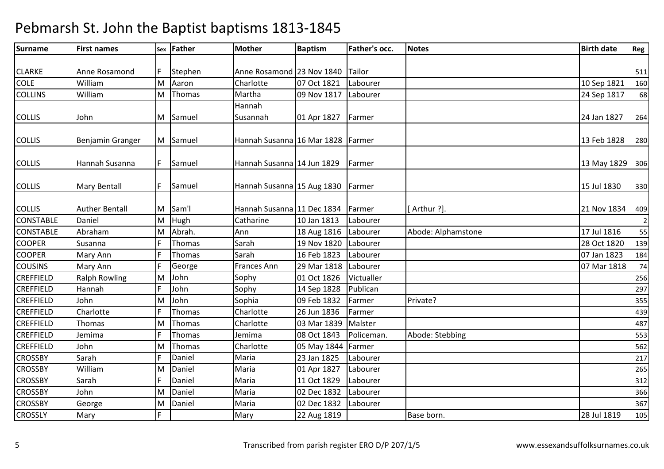| <b>Surname</b>   | <b>First names</b>    | Sex | Father   | Mother                            | <b>Baptism</b> | Father's occ. | <b>Notes</b>       | <b>Birth date</b> | Reg            |
|------------------|-----------------------|-----|----------|-----------------------------------|----------------|---------------|--------------------|-------------------|----------------|
|                  |                       |     |          |                                   |                |               |                    |                   |                |
| <b>CLARKE</b>    | Anne Rosamond         |     | Stephen  | Anne Rosamond 23 Nov 1840         |                | Tailor        |                    |                   | 511            |
| <b>COLE</b>      | William               | M   | Aaron    | Charlotte                         | 07 Oct 1821    | Labourer      |                    | 10 Sep 1821       | 160            |
| <b>COLLINS</b>   | William               | M   | Thomas   | Martha                            | 09 Nov 1817    | Labourer      |                    | 24 Sep 1817       | 68             |
|                  |                       |     |          | Hannah                            |                |               |                    |                   |                |
| <b>COLLIS</b>    | John                  |     | M Samuel | Susannah                          | 01 Apr 1827    | Farmer        |                    | 24 Jan 1827       | 264            |
|                  |                       |     |          |                                   |                |               |                    |                   |                |
| <b>COLLIS</b>    | Benjamin Granger      |     | M Samuel | Hannah Susanna 16 Mar 1828 Farmer |                |               |                    | 13 Feb 1828       | 280            |
| <b>COLLIS</b>    | Hannah Susanna        | F.  | Samuel   | Hannah Susanna 14 Jun 1829        |                | Farmer        |                    | 13 May 1829       | 306            |
|                  |                       |     |          |                                   |                |               |                    |                   |                |
| <b>COLLIS</b>    | <b>Mary Bentall</b>   | F.  | Samuel   | Hannah Susanna 15 Aug 1830        |                | Farmer        |                    | 15 Jul 1830       | 330            |
|                  |                       |     |          |                                   |                |               |                    |                   |                |
| <b>COLLIS</b>    | <b>Auther Bentall</b> | M   | Sam'l    | Hannah Susanna 11 Dec 1834        |                | Farmer        | [Arthur ?].        | 21 Nov 1834       | 409            |
| <b>CONSTABLE</b> | Daniel                | M   | Hugh     | Catharine                         | 10 Jan 1813    | Labourer      |                    |                   | $\overline{2}$ |
| <b>CONSTABLE</b> | Abraham               | M   | Abrah.   | Ann                               | 18 Aug 1816    | Labourer      | Abode: Alphamstone | 17 Jul 1816       | 55             |
| <b>COOPER</b>    | Susanna               |     | Thomas   | Sarah                             | 19 Nov 1820    | Labourer      |                    | 28 Oct 1820       | 139            |
| <b>COOPER</b>    | Mary Ann              |     | Thomas   | Sarah                             | 16 Feb 1823    | Labourer      |                    | 07 Jan 1823       | 184            |
| <b>COUSINS</b>   | Mary Ann              |     | George   | Frances Ann                       | 29 Mar 1818    | Labourer      |                    | 07 Mar 1818       | 74             |
| <b>CREFFIELD</b> | <b>Ralph Rowling</b>  | М   | John     | Sophy                             | 01 Oct 1826    | Victualler    |                    |                   | 256            |
| <b>CREFFIELD</b> | Hannah                |     | John     | Sophy                             | 14 Sep 1828    | Publican      |                    |                   | 297            |
| <b>CREFFIELD</b> | John                  | М   | John     | Sophia                            | 09 Feb 1832    | Farmer        | Private?           |                   | 355            |
| <b>CREFFIELD</b> | Charlotte             |     | Thomas   | Charlotte                         | 26 Jun 1836    | Farmer        |                    |                   | 439            |
| <b>CREFFIELD</b> | <b>Thomas</b>         | М   | Thomas   | Charlotte                         | 03 Mar 1839    | Malster       |                    |                   | 487            |
| <b>CREFFIELD</b> | Jemima                |     | Thomas   | Jemima                            | 08 Oct 1843    | Policeman.    | Abode: Stebbing    |                   | 553            |
| <b>CREFFIELD</b> | John                  | М   | Thomas   | Charlotte                         | 05 May 1844    | Farmer        |                    |                   | 562            |
| <b>CROSSBY</b>   | Sarah                 |     | Daniel   | Maria                             | 23 Jan 1825    | Labourer      |                    |                   | 217            |
| <b>CROSSBY</b>   | William               | М   | Daniel   | Maria                             | 01 Apr 1827    | Labourer      |                    |                   | 265            |
| <b>CROSSBY</b>   | Sarah                 |     | Daniel   | Maria                             | 11 Oct 1829    | Labourer      |                    |                   | 312            |
| <b>CROSSBY</b>   | John                  | M   | Daniel   | Maria                             | 02 Dec 1832    | Labourer      |                    |                   | 366            |
| <b>CROSSBY</b>   | George                | м   | Daniel   | Maria                             | 02 Dec 1832    | Labourer      |                    |                   | 367            |
| <b>CROSSLY</b>   | Mary                  |     |          | Mary                              | 22 Aug 1819    |               | Base born.         | 28 Jul 1819       | 105            |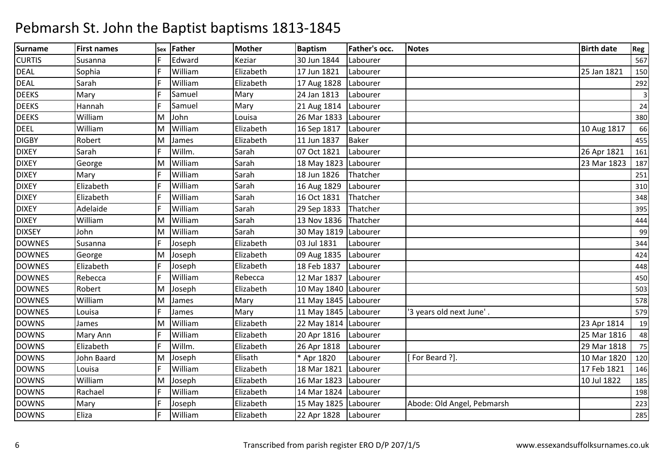| <b>Surname</b> | <b>First names</b> | Sex | Father  | <b>Mother</b> | <b>Baptism</b>       | Father's occ. | <b>Notes</b>               | <b>Birth date</b> | Reg            |
|----------------|--------------------|-----|---------|---------------|----------------------|---------------|----------------------------|-------------------|----------------|
| <b>CURTIS</b>  | Susanna            |     | Edward  | Keziar        | 30 Jun 1844          | Labourer      |                            |                   | 567            |
| <b>DEAL</b>    | Sophia             |     | William | Elizabeth     | 17 Jun 1821          | Labourer      |                            | 25 Jan 1821       | 150            |
| <b>DEAL</b>    | Sarah              |     | William | Elizabeth     | 17 Aug 1828          | Labourer      |                            |                   | 292            |
| <b>DEEKS</b>   | Mary               |     | Samuel  | Mary          | 24 Jan 1813          | Labourer      |                            |                   | $\overline{3}$ |
| <b>DEEKS</b>   | Hannah             |     | Samuel  | Mary          | 21 Aug 1814          | Labourer      |                            |                   | 24             |
| <b>DEEKS</b>   | William            | M   | John    | Louisa        | 26 Mar 1833          | Labourer      |                            |                   | 380            |
| <b>DEEL</b>    | William            | M   | William | Elizabeth     | 16 Sep 1817          | Labourer      |                            | 10 Aug 1817       | 66             |
| <b>DIGBY</b>   | Robert             | M   | James   | Elizabeth     | 11 Jun 1837          | <b>Baker</b>  |                            |                   | 455            |
| <b>DIXEY</b>   | Sarah              |     | Willm.  | Sarah         | 07 Oct 1821          | Labourer      |                            | 26 Apr 1821       | 161            |
| <b>DIXEY</b>   | George             | M   | William | Sarah         | 18 May 1823 Labourer |               |                            | 23 Mar 1823       | 187            |
| <b>DIXEY</b>   | Mary               |     | William | Sarah         | 18 Jun 1826          | Thatcher      |                            |                   | 251            |
| <b>DIXEY</b>   | Elizabeth          |     | William | Sarah         | 16 Aug 1829          | Labourer      |                            |                   | 310            |
| <b>DIXEY</b>   | Elizabeth          |     | William | Sarah         | 16 Oct 1831          | Thatcher      |                            |                   | 348            |
| <b>DIXEY</b>   | Adelaide           |     | William | Sarah         | 29 Sep 1833          | Thatcher      |                            |                   | 395            |
| <b>DIXEY</b>   | William            | м   | William | Sarah         | 13 Nov 1836          | Thatcher      |                            |                   | 444            |
| <b>DIXSEY</b>  | John               | M   | William | Sarah         | 30 May 1819 Labourer |               |                            |                   | 99             |
| <b>DOWNES</b>  | Susanna            |     | Joseph  | Elizabeth     | 03 Jul 1831          | Labourer      |                            |                   | 344            |
| <b>DOWNES</b>  | George             | M   | Joseph  | Elizabeth     | 09 Aug 1835          | Labourer      |                            |                   | 424            |
| <b>DOWNES</b>  | Elizabeth          |     | Joseph  | Elizabeth     | 18 Feb 1837          | Labourer      |                            |                   | 448            |
| <b>DOWNES</b>  | Rebecca            |     | William | Rebecca       | 12 Mar 1837          | Labourer      |                            |                   | 450            |
| <b>DOWNES</b>  | Robert             | М   | Joseph  | Elizabeth     | 10 May 1840 Labourer |               |                            |                   | 503            |
| <b>DOWNES</b>  | William            | M   | James   | Mary          | 11 May 1845 Labourer |               |                            |                   | 578            |
| <b>DOWNES</b>  | Louisa             |     | James   | Mary          | 11 May 1845 Labourer |               | '3 years old next June'.   |                   | 579            |
| <b>DOWNS</b>   | James              | M   | William | Elizabeth     | 22 May 1814 Labourer |               |                            | 23 Apr 1814       | 19             |
| <b>DOWNS</b>   | Mary Ann           |     | William | Elizabeth     | 20 Apr 1816          | Labourer      |                            | 25 Mar 1816       | 48             |
| <b>DOWNS</b>   | Elizabeth          |     | Willm.  | Elizabeth     | 26 Apr 1818          | Labourer      |                            | 29 Mar 1818       | 75             |
| <b>DOWNS</b>   | John Baard         | M   | Joseph  | Elisath       | * Apr 1820           | Labourer      | [For Beard ?].             | 10 Mar 1820       | 120            |
| <b>DOWNS</b>   | Louisa             |     | William | Elizabeth     | 18 Mar 1821          | Labourer      |                            | 17 Feb 1821       | 146            |
| <b>DOWNS</b>   | William            | М   | Joseph  | Elizabeth     | 16 Mar 1823          | Labourer      |                            | 10 Jul 1822       | 185            |
| <b>DOWNS</b>   | Rachael            |     | William | Elizabeth     | 14 Mar 1824          | Labourer      |                            |                   | 198            |
| <b>DOWNS</b>   | Mary               |     | Joseph  | Elizabeth     | 15 May 1825 Labourer |               | Abode: Old Angel, Pebmarsh |                   | 223            |
| <b>DOWNS</b>   | Eliza              |     | William | Elizabeth     | 22 Apr 1828          | Labourer      |                            |                   | 285            |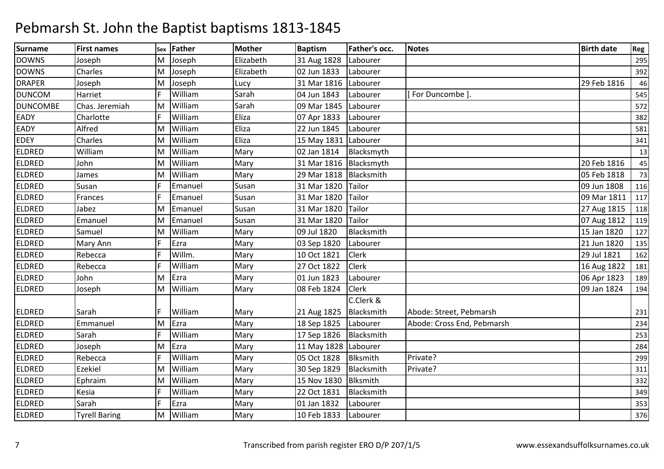| <b>Surname</b>  | <b>First names</b>   | Sex | <b>Father</b> | <b>Mother</b> | <b>Baptism</b>         | Father's occ.   | <b>Notes</b>               | <b>Birth date</b> | Reg |
|-----------------|----------------------|-----|---------------|---------------|------------------------|-----------------|----------------------------|-------------------|-----|
| <b>DOWNS</b>    | Joseph               | M   | Joseph        | Elizabeth     | 31 Aug 1828            | Labourer        |                            |                   | 295 |
| <b>DOWNS</b>    | Charles              | M   | Joseph        | Elizabeth     | 02 Jun 1833            | Labourer        |                            |                   | 392 |
| <b>DRAPER</b>   | Joseph               | м   | Joseph        | Lucy          | 31 Mar 1816            | Labourer        |                            | 29 Feb 1816       | 46  |
| <b>DUNCOM</b>   | Harriet              |     | William       | Sarah         | 04 Jun 1843            | Labourer        | For Duncombe 1             |                   | 545 |
| <b>DUNCOMBE</b> | Chas. Jeremiah       | м   | William       | Sarah         | 09 Mar 1845            | Labourer        |                            |                   | 572 |
| <b>EADY</b>     | Charlotte            |     | William       | Eliza         | 07 Apr 1833            | Labourer        |                            |                   | 382 |
| <b>EADY</b>     | Alfred               | M   | William       | Eliza         | 22 Jun 1845            | Labourer        |                            |                   | 581 |
| <b>EDEY</b>     | Charles              | M   | William       | Eliza         | 15 May 1831 Labourer   |                 |                            |                   | 341 |
| <b>ELDRED</b>   | William              | м   | William       | Mary          | 02 Jan 1814            | Blacksmyth      |                            |                   | 13  |
| <b>ELDRED</b>   | John                 | M   | William       | Mary          | 31 Mar 1816 Blacksmyth |                 |                            | 20 Feb 1816       | 45  |
| <b>ELDRED</b>   | James                | M   | William       | Mary          | 29 Mar 1818            | Blacksmith      |                            | 05 Feb 1818       | 73  |
| <b>ELDRED</b>   | Susan                |     | Emanuel       | Susan         | 31 Mar 1820            | Tailor          |                            | 09 Jun 1808       | 116 |
| <b>ELDRED</b>   | Frances              |     | Emanuel       | Susan         | 31 Mar 1820            | Tailor          |                            | 09 Mar 1811       | 117 |
| <b>ELDRED</b>   | Jabez                | M   | Emanuel       | Susan         | 31 Mar 1820            | Tailor          |                            | 27 Aug 1815       | 118 |
| <b>ELDRED</b>   | Emanuel              | м   | Emanuel       | Susan         | 31 Mar 1820            | Tailor          |                            | 07 Aug 1812       | 119 |
| <b>ELDRED</b>   | Samuel               | M   | William       | Mary          | 09 Jul 1820            | Blacksmith      |                            | 15 Jan 1820       | 127 |
| <b>ELDRED</b>   | Mary Ann             |     | Ezra          | Mary          | 03 Sep 1820            | Labourer        |                            | 21 Jun 1820       | 135 |
| <b>ELDRED</b>   | Rebecca              |     | Willm.        | Mary          | 10 Oct 1821            | <b>Clerk</b>    |                            | 29 Jul 1821       | 162 |
| <b>ELDRED</b>   | Rebecca              |     | William       | Mary          | 27 Oct 1822            | <b>Clerk</b>    |                            | 16 Aug 1822       | 181 |
| <b>ELDRED</b>   | John                 | M   | Ezra          | Mary          | 01 Jun 1823            | Labourer        |                            | 06 Apr 1823       | 189 |
| <b>ELDRED</b>   | Joseph               | M   | William       | Mary          | 08 Feb 1824            | Clerk           |                            | 09 Jan 1824       | 194 |
|                 |                      |     |               |               |                        | C.Clerk &       |                            |                   |     |
| <b>ELDRED</b>   | Sarah                |     | William       | Mary          | 21 Aug 1825            | Blacksmith      | Abode: Street, Pebmarsh    |                   | 231 |
| <b>ELDRED</b>   | Emmanuel             | M   | Ezra          | Mary          | 18 Sep 1825            | Labourer        | Abode: Cross End, Pebmarsh |                   | 234 |
| <b>ELDRED</b>   | Sarah                |     | William       | Mary          | 17 Sep 1826            | Blacksmith      |                            |                   | 253 |
| <b>ELDRED</b>   | Joseph               | M   | Ezra          | Mary          | 11 May 1828   Labourer |                 |                            |                   | 284 |
| <b>ELDRED</b>   | Rebecca              |     | William       | Mary          | 05 Oct 1828            | <b>Blksmith</b> | Private?                   |                   | 299 |
| <b>ELDRED</b>   | Ezekiel              | м   | William       | Mary          | 30 Sep 1829            | Blacksmith      | Private?                   |                   | 311 |
| <b>ELDRED</b>   | Ephraim              | м   | William       | Mary          | 15 Nov 1830            | <b>Blksmith</b> |                            |                   | 332 |
| <b>ELDRED</b>   | Kesia                |     | William       | Mary          | 22 Oct 1831            | Blacksmith      |                            |                   | 349 |
| <b>ELDRED</b>   | Sarah                |     | Ezra          | Mary          | 01 Jan 1832            | Labourer        |                            |                   | 353 |
| <b>ELDRED</b>   | <b>Tyrell Baring</b> | М   | William       | Mary          | 10 Feb 1833            | Labourer        |                            |                   | 376 |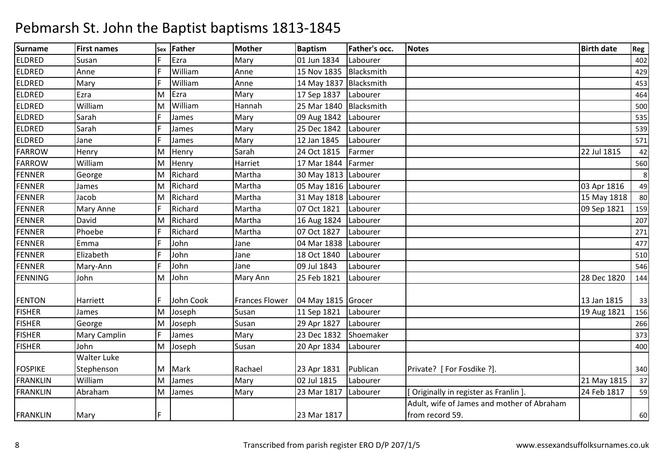| <b>Surname</b>  | <b>First names</b> | Sex | <b>Father</b> | <b>Mother</b>         | <b>Baptism</b>         | Father's occ. | <b>Notes</b>                               | <b>Birth date</b> | Reg |
|-----------------|--------------------|-----|---------------|-----------------------|------------------------|---------------|--------------------------------------------|-------------------|-----|
| <b>ELDRED</b>   | Susan              |     | Ezra          | Mary                  | 01 Jun 1834            | Labourer      |                                            |                   | 402 |
| <b>ELDRED</b>   | Anne               |     | William       | Anne                  | 15 Nov 1835            | Blacksmith    |                                            |                   | 429 |
| <b>ELDRED</b>   | Mary               |     | William       | Anne                  | 14 May 1837            | Blacksmith    |                                            |                   | 453 |
| <b>ELDRED</b>   | Ezra               | M   | Ezra          | Mary                  | 17 Sep 1837            | Labourer      |                                            |                   | 464 |
| <b>ELDRED</b>   | William            | м   | William       | Hannah                | 25 Mar 1840            | Blacksmith    |                                            |                   | 500 |
| <b>ELDRED</b>   | Sarah              |     | James         | Mary                  | 09 Aug 1842            | Labourer      |                                            |                   | 535 |
| <b>ELDRED</b>   | Sarah              |     | James         | Mary                  | 25 Dec 1842            | Labourer      |                                            |                   | 539 |
| <b>ELDRED</b>   | Jane               |     | James         | Mary                  | 12 Jan 1845            | Labourer      |                                            |                   | 571 |
| <b>FARROW</b>   | Henry              | М   | Henry         | Sarah                 | 24 Oct 1815            | Farmer        |                                            | 22 Jul 1815       | 42  |
| <b>FARROW</b>   | William            | M   | Henry         | Harriet               | 17 Mar 1844            | Farmer        |                                            |                   | 560 |
| <b>FENNER</b>   | George             | M   | Richard       | Martha                | 30 May 1813 Labourer   |               |                                            |                   | 8   |
| FENNER          | James              | M   | Richard       | Martha                | 05 May 1816 Labourer   |               |                                            | 03 Apr 1816       | 49  |
| <b>FENNER</b>   | Jacob              | М   | Richard       | Martha                | 31 May 1818   Labourer |               |                                            | 15 May 1818       | 80  |
| <b>FENNER</b>   | Mary Anne          |     | Richard       | Martha                | 07 Oct 1821            | Labourer      |                                            | 09 Sep 1821       | 159 |
| <b>FENNER</b>   | David              | М   | Richard       | Martha                | 16 Aug 1824            | Labourer      |                                            |                   | 207 |
| <b>FENNER</b>   | Phoebe             |     | Richard       | Martha                | 07 Oct 1827            | Labourer      |                                            |                   | 271 |
| <b>FENNER</b>   | Emma               |     | John          | Jane                  | 04 Mar 1838            | Labourer      |                                            |                   | 477 |
| <b>FENNER</b>   | Elizabeth          |     | John          | Jane                  | 18 Oct 1840            | Labourer      |                                            |                   | 510 |
| <b>FENNER</b>   | Mary-Ann           |     | John          | Jane                  | 09 Jul 1843            | Labourer      |                                            |                   | 546 |
| <b>FENNING</b>  | John               | M   | John          | Mary Ann              | 25 Feb 1821            | Labourer      |                                            | 28 Dec 1820       | 144 |
|                 |                    |     |               |                       |                        |               |                                            |                   |     |
| <b>FENTON</b>   | Harriett           |     | John Cook     | <b>Frances Flower</b> | 04 May 1815 Grocer     |               |                                            | 13 Jan 1815       | 33  |
| <b>FISHER</b>   | James              | M   | Joseph        | Susan                 | 11 Sep 1821            | Labourer      |                                            | 19 Aug 1821       | 156 |
| <b>FISHER</b>   | George             | М   | Joseph        | Susan                 | 29 Apr 1827            | Labourer      |                                            |                   | 266 |
| <b>FISHER</b>   | Mary Camplin       |     | James         | Mary                  | 23 Dec 1832            | Shoemaker     |                                            |                   | 373 |
| <b>FISHER</b>   | John               | M   | Joseph        | Susan                 | 20 Apr 1834            | Labourer      |                                            |                   | 400 |
|                 | <b>Walter Luke</b> |     |               |                       |                        |               |                                            |                   |     |
| <b>FOSPIKE</b>  | Stephenson         | M   | Mark          | Rachael               | 23 Apr 1831            | Publican      | Private? [For Fosdike ?].                  |                   | 340 |
| <b>FRANKLIN</b> | William            | M   | James         | Mary                  | 02 Jul 1815            | Labourer      |                                            | 21 May 1815       | 37  |
| <b>FRANKLIN</b> | Abraham            | M   | James         | Mary                  | 23 Mar 1817            | Labourer      | Originally in register as Franlin ]        | 24 Feb 1817       | 59  |
|                 |                    |     |               |                       |                        |               | Adult, wife of James and mother of Abraham |                   |     |
| <b>FRANKLIN</b> | Mary               |     |               |                       | 23 Mar 1817            |               | from record 59.                            |                   | 60  |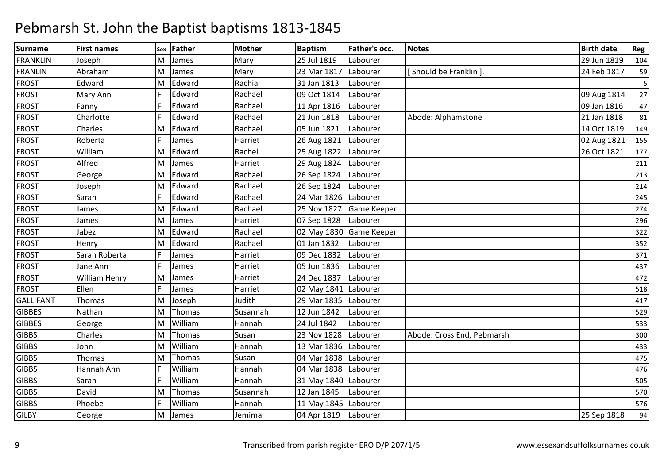| <b>Surname</b>   | <b>First names</b> | Sex | <b>Father</b> | <b>Mother</b> | <b>Baptism</b>         | Father's occ.           | <b>Notes</b>               | <b>Birth date</b> | Reg |
|------------------|--------------------|-----|---------------|---------------|------------------------|-------------------------|----------------------------|-------------------|-----|
| <b>FRANKLIN</b>  | Joseph             | M   | James         | Mary          | 25 Jul 1819            | Labourer                |                            | 29 Jun 1819       | 104 |
| <b>FRANLIN</b>   | Abraham            | M   | James         | Mary          | 23 Mar 1817            | Labourer                | Should be Franklin ].      | 24 Feb 1817       | 59  |
| <b>FROST</b>     | Edward             | м   | Edward        | Rachial       | 31 Jan 1813            | Labourer                |                            |                   | 5   |
| <b>FROST</b>     | Mary Ann           |     | Edward        | Rachael       | 09 Oct 1814            | Labourer                |                            | 09 Aug 1814       | 27  |
| <b>FROST</b>     | Fanny              |     | Edward        | Rachael       | 11 Apr 1816            | Labourer                |                            | 09 Jan 1816       | 47  |
| <b>FROST</b>     | Charlotte          |     | Edward        | Rachael       | 21 Jun 1818            | Labourer                | Abode: Alphamstone         | 21 Jan 1818       | 81  |
| <b>FROST</b>     | Charles            | M   | Edward        | Rachael       | 05 Jun 1821            | Labourer                |                            | 14 Oct 1819       | 149 |
| <b>FROST</b>     | Roberta            |     | James         | Harriet       | 26 Aug 1821            | Labourer                |                            | 02 Aug 1821       | 155 |
| <b>FROST</b>     | William            | M   | Edward        | Rachel        | 25 Aug 1822            | Labourer                |                            | 26 Oct 1821       | 177 |
| <b>FROST</b>     | Alfred             | M   | James         | Harriet       | 29 Aug 1824            | Labourer                |                            |                   | 211 |
| <b>FROST</b>     | George             | м   | Edward        | Rachael       | 26 Sep 1824            | Labourer                |                            |                   | 213 |
| <b>FROST</b>     | Joseph             | M   | Edward        | Rachael       | 26 Sep 1824            | Labourer                |                            |                   | 214 |
| <b>FROST</b>     | Sarah              |     | Edward        | Rachael       | 24 Mar 1826            | Labourer                |                            |                   | 245 |
| <b>FROST</b>     | James              | м   | Edward        | Rachael       | 25 Nov 1827            | Game Keeper             |                            |                   | 274 |
| <b>FROST</b>     | James              | м   | James         | Harriet       | 07 Sep 1828            | Labourer                |                            |                   | 296 |
| <b>FROST</b>     | Jabez              | M   | Edward        | Rachael       |                        | 02 May 1830 Game Keeper |                            |                   | 322 |
| <b>FROST</b>     | Henry              | м   | Edward        | Rachael       | 01 Jan 1832            | Labourer                |                            |                   | 352 |
| <b>FROST</b>     | Sarah Roberta      |     | James         | Harriet       | 09 Dec 1832            | Labourer                |                            |                   | 371 |
| <b>FROST</b>     | Jane Ann           |     | James         | Harriet       | 05 Jun 1836            | Labourer                |                            |                   | 437 |
| <b>FROST</b>     | William Henry      | M   | James         | Harriet       | 24 Dec 1837            | Labourer                |                            |                   | 472 |
| <b>FROST</b>     | Ellen              |     | James         | Harriet       | 02 May 1841   Labourer |                         |                            |                   | 518 |
| <b>GALLIFANT</b> | Thomas             | M   | Joseph        | Judith        | 29 Mar 1835            | Labourer                |                            |                   | 417 |
| <b>GIBBES</b>    | Nathan             | M   | Thomas        | Susannah      | 12 Jun 1842            | Labourer                |                            |                   | 529 |
| <b>GIBBES</b>    | George             | M   | William       | Hannah        | 24 Jul 1842            | Labourer                |                            |                   | 533 |
| <b>GIBBS</b>     | Charles            | M   | Thomas        | Susan         | 23 Nov 1828            | Labourer                | Abode: Cross End, Pebmarsh |                   | 300 |
| <b>GIBBS</b>     | John               | м   | William       | Hannah        | 13 Mar 1836            | Labourer                |                            |                   | 433 |
| <b>GIBBS</b>     | Thomas             | M   | Thomas        | Susan         | 04 Mar 1838            | Labourer                |                            |                   | 475 |
| <b>GIBBS</b>     | Hannah Ann         |     | William       | Hannah        | 04 Mar 1838            | Labourer                |                            |                   | 476 |
| <b>GIBBS</b>     | Sarah              |     | William       | Hannah        | 31 May 1840            | Labourer                |                            |                   | 505 |
| <b>GIBBS</b>     | David              | M   | Thomas        | Susannah      | 12 Jan 1845            | Labourer                |                            |                   | 570 |
| <b>GIBBS</b>     | Phoebe             |     | William       | Hannah        | 11 May 1845 Labourer   |                         |                            |                   | 576 |
| <b>GILBY</b>     | George             | м   | James         | Jemima        | 04 Apr 1819            | Labourer                |                            | 25 Sep 1818       | 94  |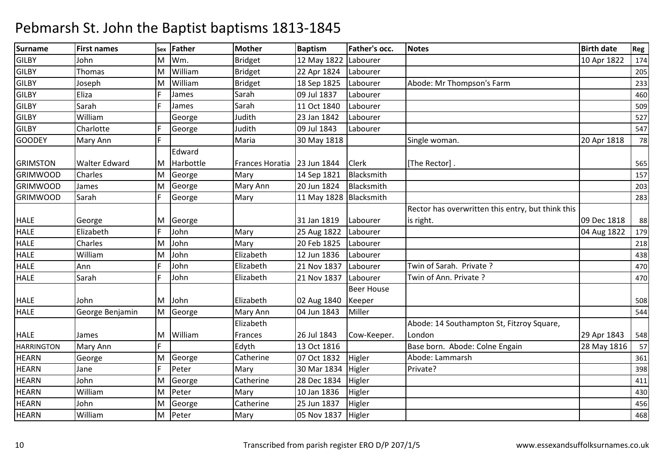| <b>Surname</b>    | <b>First names</b>   | <b>Sex</b> | <b>Father</b> | <b>Mother</b>                 | <b>Baptism</b>           | Father's occ.     | <b>Notes</b>                                      | <b>Birth date</b> | Reg |
|-------------------|----------------------|------------|---------------|-------------------------------|--------------------------|-------------------|---------------------------------------------------|-------------------|-----|
| <b>GILBY</b>      | John                 | M          | Wm.           | <b>Bridget</b>                | 12 May 1822              | Labourer          |                                                   | 10 Apr 1822       | 174 |
| <b>GILBY</b>      | Thomas               | M          | William       | <b>Bridget</b>                | 22 Apr 1824              | Labourer          |                                                   |                   | 205 |
| <b>GILBY</b>      | Joseph               | M          | William       | <b>Bridget</b>                | 18 Sep 1825              | Labourer          | Abode: Mr Thompson's Farm                         |                   | 233 |
| <b>GILBY</b>      | Eliza                |            | James         | Sarah                         | 09 Jul 1837              | Labourer          |                                                   |                   | 460 |
| <b>GILBY</b>      | Sarah                |            | James         | Sarah                         | 11 Oct 1840              | Labourer          |                                                   |                   | 509 |
| <b>GILBY</b>      | William              |            | George        | Judith                        | 23 Jan 1842              | Labourer          |                                                   |                   | 527 |
| <b>GILBY</b>      | Charlotte            |            | George        | Judith                        | 09 Jul 1843              | Labourer          |                                                   |                   | 547 |
| <b>GOODEY</b>     | Mary Ann             | F          |               | Maria                         | 30 May 1818              |                   | Single woman.                                     | 20 Apr 1818       | 78  |
|                   |                      |            | Edward        |                               |                          |                   |                                                   |                   |     |
| <b>GRIMSTON</b>   | <b>Walter Edward</b> | M          | Harbottle     | Frances Horatia   23 Jun 1844 |                          | <b>Clerk</b>      | [The Rector].                                     |                   | 565 |
| <b>GRIMWOOD</b>   | Charles              | M          | George        | Mary                          | 14 Sep 1821              | Blacksmith        |                                                   |                   | 157 |
| <b>GRIMWOOD</b>   | James                | M          | George        | Mary Ann                      | 20 Jun 1824              | Blacksmith        |                                                   |                   | 203 |
| <b>GRIMWOOD</b>   | Sarah                | IF.        | George        | Mary                          | 11 May 1828   Blacksmith |                   |                                                   |                   | 283 |
|                   |                      |            |               |                               |                          |                   | Rector has overwritten this entry, but think this |                   |     |
| <b>HALE</b>       | George               | IM.        | George        |                               | 31 Jan 1819              | Labourer          | is right.                                         | 09 Dec 1818       | 88  |
| <b>HALE</b>       | Elizabeth            |            | John          | Mary                          | 25 Aug 1822              | Labourer          |                                                   | 04 Aug 1822       | 179 |
| <b>HALE</b>       | Charles              | M          | John          | Mary                          | 20 Feb 1825              | Labourer          |                                                   |                   | 218 |
| <b>HALE</b>       | William              | M          | John          | Elizabeth                     | 12 Jun 1836              | Labourer          |                                                   |                   | 438 |
| <b>HALE</b>       | Ann                  |            | John          | Elizabeth                     | 21 Nov 1837              | Labourer          | Twin of Sarah. Private?                           |                   | 470 |
| <b>HALE</b>       | Sarah                |            | John          | Elizabeth                     | 21 Nov 1837              | Labourer          | Twin of Ann. Private ?                            |                   | 470 |
|                   |                      |            |               |                               |                          | <b>Beer House</b> |                                                   |                   |     |
| <b>HALE</b>       | John                 | M          | John          | Elizabeth                     | 02 Aug 1840              | Keeper            |                                                   |                   | 508 |
| <b>HALE</b>       | George Benjamin      | M          | George        | Mary Ann                      | 04 Jun 1843              | Miller            |                                                   |                   | 544 |
|                   |                      |            |               | Elizabeth                     |                          |                   | Abode: 14 Southampton St, Fitzroy Square,         |                   |     |
| <b>HALE</b>       | James                | M          | William       | Frances                       | 26 Jul 1843              | Cow-Keeper.       | London                                            | 29 Apr 1843       | 548 |
| <b>HARRINGTON</b> | Mary Ann             | F.         |               | Edyth                         | 13 Oct 1816              |                   | Base born. Abode: Colne Engain                    | 28 May 1816       | 57  |
| <b>HEARN</b>      | George               | M          | George        | Catherine                     | 07 Oct 1832              | Higler            | Abode: Lammarsh                                   |                   | 361 |
| <b>HEARN</b>      | Jane                 | F          | Peter         | Mary                          | 30 Mar 1834              | Higler            | Private?                                          |                   | 398 |
| <b>HEARN</b>      | John                 | M          | George        | Catherine                     | 28 Dec 1834              | Higler            |                                                   |                   | 411 |
| <b>HEARN</b>      | William              | M          | Peter         | Mary                          | 10 Jan 1836              | Higler            |                                                   |                   | 430 |
| <b>HEARN</b>      | John                 | M          | George        | Catherine                     | 25 Jun 1837              | Higler            |                                                   |                   | 456 |
| <b>HEARN</b>      | William              | M          | Peter         | Mary                          | 05 Nov 1837              | Higler            |                                                   |                   | 468 |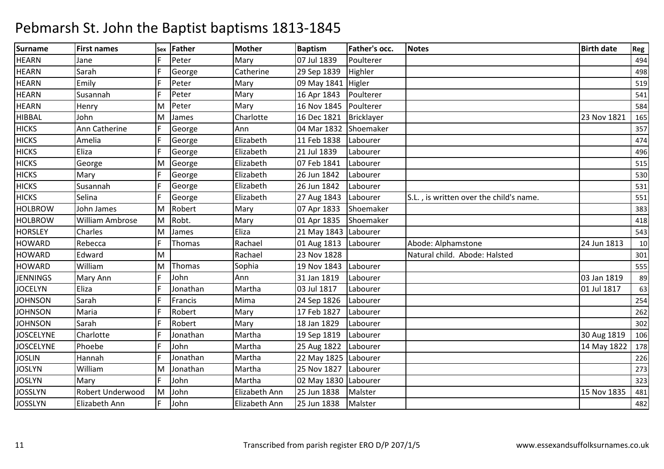| <b>Surname</b>   | <b>First names</b> | Sex | Father   | <b>Mother</b> | <b>Baptism</b>         | Father's occ. | <b>Notes</b>                            | <b>Birth date</b> | Reg |
|------------------|--------------------|-----|----------|---------------|------------------------|---------------|-----------------------------------------|-------------------|-----|
| <b>HEARN</b>     | Jane               |     | Peter    | Mary          | 07 Jul 1839            | Poulterer     |                                         |                   | 494 |
| <b>HEARN</b>     | Sarah              |     | George   | Catherine     | 29 Sep 1839            | Highler       |                                         |                   | 498 |
| <b>HEARN</b>     | Emily              |     | Peter    | Mary          | 09 May 1841            | Higler        |                                         |                   | 519 |
| <b>HEARN</b>     | Susannah           |     | Peter    | Mary          | 16 Apr 1843            | Poulterer     |                                         |                   | 541 |
| <b>HEARN</b>     | Henry              | M   | Peter    | Mary          | 16 Nov 1845            | Poulterer     |                                         |                   | 584 |
| <b>HIBBAL</b>    | John               | M   | James    | Charlotte     | 16 Dec 1821            | Bricklayer    |                                         | 23 Nov 1821       | 165 |
| <b>HICKS</b>     | Ann Catherine      |     | George   | Ann           | 04 Mar 1832            | Shoemaker     |                                         |                   | 357 |
| <b>HICKS</b>     | Amelia             |     | George   | Elizabeth     | 11 Feb 1838            | Labourer      |                                         |                   | 474 |
| <b>HICKS</b>     | Eliza              |     | George   | Elizabeth     | 21 Jul 1839            | Labourer      |                                         |                   | 496 |
| <b>HICKS</b>     | George             | M   | George   | Elizabeth     | 07 Feb 1841            | Labourer      |                                         |                   | 515 |
| <b>HICKS</b>     | Mary               |     | George   | Elizabeth     | 26 Jun 1842            | Labourer      |                                         |                   | 530 |
| <b>HICKS</b>     | Susannah           |     | George   | Elizabeth     | 26 Jun 1842            | Labourer      |                                         |                   | 531 |
| <b>HICKS</b>     | Selina             |     | George   | Elizabeth     | 27 Aug 1843            | Labourer      | S.L., is written over the child's name. |                   | 551 |
| <b>HOLBROW</b>   | John James         | M   | Robert   | Mary          | 07 Apr 1833            | Shoemaker     |                                         |                   | 383 |
| <b>HOLBROW</b>   | William Ambrose    | M   | Robt.    | Mary          | 01 Apr 1835            | Shoemaker     |                                         |                   | 418 |
| <b>HORSLEY</b>   | Charles            | M   | James    | Eliza         | 21 May 1843 Labourer   |               |                                         |                   | 543 |
| <b>HOWARD</b>    | Rebecca            | F.  | Thomas   | Rachael       | 01 Aug 1813            | Labourer      | Abode: Alphamstone                      | 24 Jun 1813       | 10  |
| <b>HOWARD</b>    | Edward             | M   |          | Rachael       | 23 Nov 1828            |               | Natural child. Abode: Halsted           |                   | 301 |
| <b>HOWARD</b>    | William            | м   | Thomas   | Sophia        | 19 Nov 1843            | Labourer      |                                         |                   | 555 |
| <b>JENNINGS</b>  | Mary Ann           |     | John     | Ann           | 31 Jan 1819            | Labourer      |                                         | 03 Jan 1819       | 89  |
| <b>JOCELYN</b>   | Eliza              |     | Jonathan | Martha        | 03 Jul 1817            | Labourer      |                                         | 01 Jul 1817       | 63  |
| <b>JOHNSON</b>   | Sarah              |     | Francis  | Mima          | 24 Sep 1826            | Labourer      |                                         |                   | 254 |
| <b>JOHNSON</b>   | Maria              |     | Robert   | Mary          | 17 Feb 1827            | Labourer      |                                         |                   | 262 |
| <b>JOHNSON</b>   | Sarah              |     | Robert   | Mary          | 18 Jan 1829            | Labourer      |                                         |                   | 302 |
| <b>JOSCELYNE</b> | Charlotte          |     | Jonathan | Martha        | 19 Sep 1819            | Labourer      |                                         | 30 Aug 1819       | 106 |
| <b>JOSCELYNE</b> | Phoebe             |     | John     | Martha        | 25 Aug 1822            | Labourer      |                                         | 14 May 1822       | 178 |
| <b>JOSLIN</b>    | Hannah             |     | Jonathan | Martha        | 22 May 1825 Labourer   |               |                                         |                   | 226 |
| <b>JOSLYN</b>    | William            | M   | Jonathan | Martha        | 25 Nov 1827            | Labourer      |                                         |                   | 273 |
| <b>JOSLYN</b>    | Mary               |     | John     | Martha        | 02 May 1830   Labourer |               |                                         |                   | 323 |
| <b>JOSSLYN</b>   | Robert Underwood   | M   | John     | Elizabeth Ann | 25 Jun 1838            | Malster       |                                         | 15 Nov 1835       | 481 |
| <b>JOSSLYN</b>   | Elizabeth Ann      |     | John     | Elizabeth Ann | 25 Jun 1838            | Malster       |                                         |                   | 482 |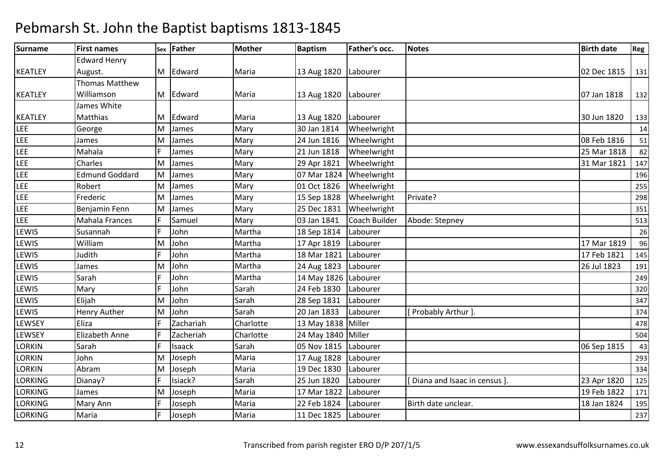#### Surnamee First names Sex Father Mother Baptism m Father's occ. Notes **Birth date** Reg KEATLEYEdward Henry August.M Edward M Edward Maria 13 Aug 1820 Labourer 12 August 131 Maria 131 Maria 131 Maria 131 Maria 131 Maria 131 Maria 131<br>13 Marcus 13 Maria 13 August 13 Marcus 13 Marcus 13 Marcus 13 Marcus 13 Marcus 13 Marcus 13 Marcus 13 Marcus 1 KEATLEYThomas Matthew Williamson James White M Edward M Edward Maria 13 Aug 1820 Labourer 19 August 1320 Maria 1320 Jan 1818 132<br>132 Maria 1918 132 KEATLEYMatthiasM Edward Maria 13 Aug 1820 Labourer 30 Jun 1820 <sup>133</sup> LEE George James MM James Mary 30 Jan 1814 Wheelwright 14 James 14 James 14 James 14 James 14 James 14 James 14 James 14 James 1<br>Mary 1990 - Mary 2011 1990 14 James 1990 14 James 14 James 14 James 14 James 1990 14 James 1990 14 James 14 Jam LEEM James Mary 24 Jun 1816 Wheelwright 08 Feb 1816 <sup>51</sup> LEEE Mahala F James Mary 21 Jun 1818 21 Jun 1818 Numer Wheelwright 25 Mar 1818 82<br>
29 Apr 1821 Numer Wheelwright 29 Apr 1821 147 LEE Charles MM James Mary 29 Apr 1821 Wheelwright 31 Mar 1821 147 LEE Edmund GoddardM James Mary 07 Mar 1824 Wheelwright <sup>196</sup> LEE Robert MM James Mary 01 Oct 1826 Wheelwright 255 255 255 255 255 256 256 257 258 259 269 269 269 27 27 27 27 27 27 27 2 LEE Frederic MM James Mary 15 Sep 1828 Wheelwright Private?<br>A Luces Mary 298 Sep 1824 Wheelwright Private? LEE Benjamin FennE 1993 Mahala Frances F Samuel Mary 103 Jan 1841 MM James Mary 25 Dec 1831 Wheelwright 351<br>E. Convert Mary 2015 1914 Correlate Maria Maria Channel Correlate Channel Channel Channel Channel Channel Chan LEE Coach Builder Abode: Stepney <sup>513</sup> LEWIS Susannahh Martha 18 Sep 1814 Labourer 26 LEWIS WilliamS Judith M John Martha 17 Apr 1819 Labourer 17 Mar 1819 <sup>96</sup> **LEWIS** h 17 Feb 1821 | 145 | 16 | 16 | 17 Feb 1821 | 145 LEWIS James M John Martha 24 Aug 1823 Labourer 26 Jul 1823 <sup>191</sup> LEWIS Sarahh |F |John |Martha 14 May 1826 |Labourer | 249 **LEWIS** S Mary F John Sarah 24 Feb 1830 Labourer <sup>320</sup> LEWIS ElijahS Henry Auther M John Sarah 28 Sep 1831 Labourer <sup>347</sup> LEWISM John Sarah 20 Jan 1833 Labourer [ Probably Arthur ]. <sup>374</sup> **LEWSEY** Eliza **F** Izachariah Charlotte 13 May 1838 Miller 19 (1996) 13 May 1838 1 Miller 19 May 18 May 18 May 18 May 18 May 18 May 18 May 1<br>Charlotte 24 May 1840 Miller 19 May 1840 18504 LEWSEY Elizabeth Anne**Zacheriah** Person of the 24 May 1840 Miller 504 LORKINN Sarah F Isaack Sarah 05 Nov 1815 Labourer 2011 - 1986 Sep 1815 43 LORKIN John M Joseph Maria 17 Aug 1828 Labourer <sup>293</sup> LORKIN AbramDianav? MM Joseph Maria 19 Dec 1830 Labourer 334<br>E Juinel 20 Annelis 25 Le 1830 Lubenne 19 in 19 Julie 2001 19 Julie 2001 19 Julie 2001 19 Julie 2001 19 Julie LORKINGG Dianay? F Isiack? Sarah 25 Jun 1820 Labourer [Diana and Isaac in census ]. 23 Apr 1820 125 LORKINGJames<br>Mary Ann M Joseph Maria 17 Mar 1822 Labourer 19 Feb 1822 <sup>171</sup> LORKINGG Mary Ann F Joseph Maria 22 Feb 1824 Labourer Birth date unclear. 18 Jan 1824 195 LORKINGMaria <sup>F</sup> Joseph Maria 11 Dec 1825 Labourer <sup>237</sup>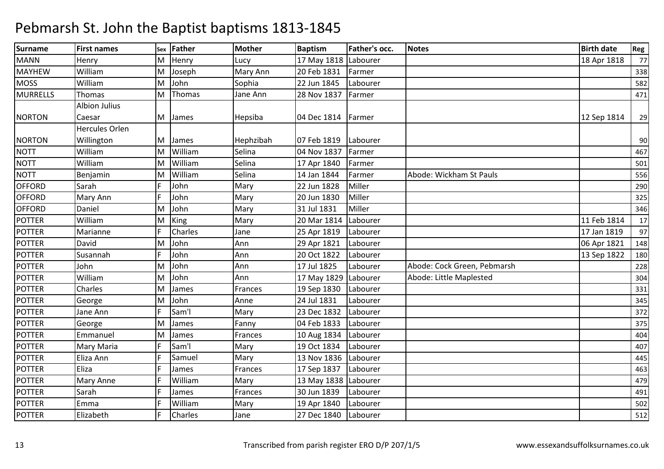| <b>Surname</b>  | <b>First names</b>    | Sex | Father  | <b>Mother</b> | <b>Baptism</b>       | <b>Father's occ.</b> | <b>Notes</b>                | <b>Birth date</b> | Reg |
|-----------------|-----------------------|-----|---------|---------------|----------------------|----------------------|-----------------------------|-------------------|-----|
| <b>MANN</b>     | Henry                 | M   | Henry   | Lucy          | 17 May 1818 Labourer |                      |                             | 18 Apr 1818       | 77  |
| <b>MAYHEW</b>   | William               | M   | Joseph  | Mary Ann      | 20 Feb 1831          | Farmer               |                             |                   | 338 |
| <b>MOSS</b>     | William               | M   | John    | Sophia        | 22 Jun 1845          | Labourer             |                             |                   | 582 |
| <b>MURRELLS</b> | <b>Thomas</b>         | M   | Thomas  | Jane Ann      | 28 Nov 1837          | Farmer               |                             |                   | 471 |
|                 | <b>Albion Julius</b>  |     |         |               |                      |                      |                             |                   |     |
| <b>NORTON</b>   | Caesar                | M   | James   | Hepsiba       | 04 Dec 1814          | Farmer               |                             | 12 Sep 1814       | 29  |
|                 | <b>Hercules Orlen</b> |     |         |               |                      |                      |                             |                   |     |
| <b>NORTON</b>   | Willington            | М   | James   | Hephzibah     | 07 Feb 1819          | Labourer             |                             |                   | 90  |
| <b>NOTT</b>     | William               | M   | William | Selina        | 04 Nov 1837          | Farmer               |                             |                   | 467 |
| <b>NOTT</b>     | William               | M   | William | Selina        | 17 Apr 1840          | Farmer               |                             |                   | 501 |
| <b>NOTT</b>     | Benjamin              | M   | William | Selina        | 14 Jan 1844          | Farmer               | Abode: Wickham St Pauls     |                   | 556 |
| <b>OFFORD</b>   | Sarah                 |     | John    | Mary          | 22 Jun 1828          | Miller               |                             |                   | 290 |
| <b>OFFORD</b>   | Mary Ann              | E   | John    | Mary          | 20 Jun 1830          | Miller               |                             |                   | 325 |
| <b>OFFORD</b>   | Daniel                | M   | John    | Mary          | 31 Jul 1831          | Miller               |                             |                   | 346 |
| <b>POTTER</b>   | William               | M   | King    | Mary          | 20 Mar 1814          | Labourer             |                             | 11 Feb 1814       | 17  |
| <b>POTTER</b>   | Marianne              |     | Charles | Jane          | 25 Apr 1819          | Labourer             |                             | 17 Jan 1819       | 97  |
| <b>POTTER</b>   | David                 | M   | John    | Ann           | 29 Apr 1821          | Labourer             |                             | 06 Apr 1821       | 148 |
| <b>POTTER</b>   | Susannah              | E   | John    | Ann           | 20 Oct 1822          | Labourer             |                             | 13 Sep 1822       | 180 |
| <b>POTTER</b>   | John                  | M   | John    | Ann           | 17 Jul 1825          | Labourer             | Abode: Cock Green, Pebmarsh |                   | 228 |
| <b>POTTER</b>   | William               | M   | John    | Ann           | 17 May 1829          | Labourer             | Abode: Little Maplested     |                   | 304 |
| <b>POTTER</b>   | Charles               | M   | James   | Frances       | 19 Sep 1830          | Labourer             |                             |                   | 331 |
| <b>POTTER</b>   | George                | M   | John    | Anne          | 24 Jul 1831          | Labourer             |                             |                   | 345 |
| <b>POTTER</b>   | Jane Ann              |     | Sam'l   | Mary          | 23 Dec 1832          | Labourer             |                             |                   | 372 |
| <b>POTTER</b>   | George                | M   | James   | Fanny         | 04 Feb 1833          | Labourer             |                             |                   | 375 |
| <b>POTTER</b>   | Emmanuel              | M   | James   | Frances       | 10 Aug 1834          | Labourer             |                             |                   | 404 |
| <b>POTTER</b>   | Mary Maria            | F   | Sam'l   | Mary          | 19 Oct 1834          | Labourer             |                             |                   | 407 |
| <b>POTTER</b>   | Eliza Ann             |     | Samuel  | Mary          | 13 Nov 1836          | Labourer             |                             |                   | 445 |
| <b>POTTER</b>   | Eliza                 |     | James   | Frances       | 17 Sep 1837          | Labourer             |                             |                   | 463 |
| <b>POTTER</b>   | Mary Anne             |     | William | Mary          | 13 May 1838 Labourer |                      |                             |                   | 479 |
| <b>POTTER</b>   | Sarah                 |     | James   | Frances       | 30 Jun 1839          | Labourer             |                             |                   | 491 |
| <b>POTTER</b>   | Emma                  |     | William | Mary          | 19 Apr 1840          | Labourer             |                             |                   | 502 |
| <b>POTTER</b>   | Elizabeth             | F.  | Charles | Jane          | 27 Dec 1840          | Labourer             |                             |                   | 512 |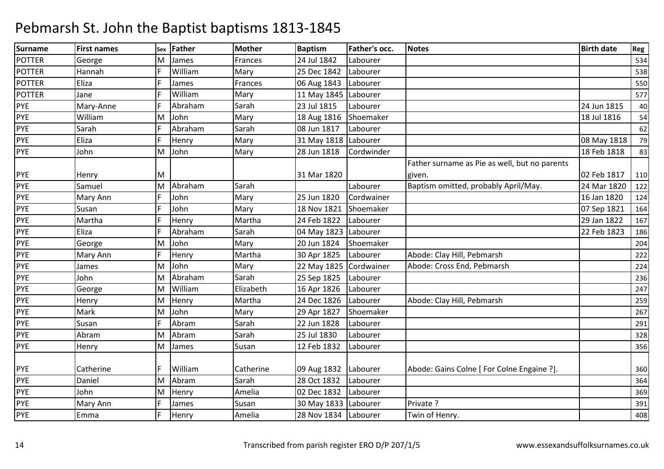| <b>Surname</b> | <b>First names</b> | Sex | <b>Father</b> | <b>Mother</b> | <b>Baptism</b>       | Father's occ. | <b>Notes</b>                                  | <b>Birth date</b> | Reg |
|----------------|--------------------|-----|---------------|---------------|----------------------|---------------|-----------------------------------------------|-------------------|-----|
| <b>POTTER</b>  | George             | м   | James         | Frances       | 24 Jul 1842          | Labourer      |                                               |                   | 534 |
| <b>POTTER</b>  | Hannah             |     | William       | Mary          | 25 Dec 1842          | Labourer      |                                               |                   | 538 |
| <b>POTTER</b>  | Eliza              |     | James         | Frances       | 06 Aug 1843          | Labourer      |                                               |                   | 550 |
| <b>POTTER</b>  | Jane               |     | William       | Mary          | 11 May 1845          | Labourer      |                                               |                   | 577 |
| <b>PYE</b>     | Mary-Anne          |     | Abraham       | Sarah         | 23 Jul 1815          | Labourer      |                                               | 24 Jun 1815       | 40  |
| PYE            | William            | M   | John          | Mary          | 18 Aug 1816          | Shoemaker     |                                               | 18 Jul 1816       | 54  |
| PYE            | Sarah              |     | Abraham       | Sarah         | 08 Jun 1817          | Labourer      |                                               |                   | 62  |
| <b>PYE</b>     | Eliza              |     | Henry         | Mary          | 31 May 1818 Labourer |               |                                               | 08 May 1818       | 79  |
| <b>PYE</b>     | John               | Μ   | John          | Mary          | 28 Jun 1818          | Cordwinder    |                                               | 18 Feb 1818       | 83  |
|                |                    |     |               |               |                      |               | Father surname as Pie as well, but no parents |                   |     |
| <b>PYE</b>     | Henry              | M   |               |               | 31 Mar 1820          |               | given.                                        | 02 Feb 1817       | 110 |
| PYE            | Samuel             | M   | Abraham       | Sarah         |                      | Labourer      | Baptism omitted, probably April/May.          | 24 Mar 1820       | 122 |
| <b>PYE</b>     | Mary Ann           |     | John          | Mary          | 25 Jun 1820          | Cordwainer    |                                               | 16 Jan 1820       | 124 |
| PYE            | Susan              |     | John          | Mary          | 18 Nov 1821          | Shoemaker     |                                               | 07 Sep 1821       | 164 |
| <b>PYE</b>     | Martha             |     | Henry         | Martha        | 24 Feb 1822          | Labourer      |                                               | 29 Jan 1822       | 167 |
| PYE            | Eliza              |     | Abraham       | Sarah         | 04 May 1823          | Labourer      |                                               | 22 Feb 1823       | 186 |
| PYE            | George             | M   | John          | Mary          | 20 Jun 1824          | Shoemaker     |                                               |                   | 204 |
| PYE            | Mary Ann           |     | Henry         | Martha        | 30 Apr 1825          | Labourer      | Abode: Clay Hill, Pebmarsh                    |                   | 222 |
| <b>PYE</b>     | James              | M   | John          | Mary          | 22 May 1825          | Cordwainer    | Abode: Cross End, Pebmarsh                    |                   | 224 |
| <b>PYE</b>     | John               | м   | Abraham       | Sarah         | 25 Sep 1825          | Labourer      |                                               |                   | 236 |
| PYE            | George             | M   | William       | Elizabeth     | 16 Apr 1826          | Labourer      |                                               |                   | 247 |
| <b>PYE</b>     | Henry              | M   | Henry         | Martha        | 24 Dec 1826          | Labourer      | Abode: Clay Hill, Pebmarsh                    |                   | 259 |
| PYE            | Mark               | м   | John          | Mary          | 29 Apr 1827          | Shoemaker     |                                               |                   | 267 |
| <b>PYE</b>     | Susan              |     | Abram         | Sarah         | 22 Jun 1828          | Labourer      |                                               |                   | 291 |
| PYE            | Abram              | M   | Abram         | Sarah         | 25 Jul 1830          | Labourer      |                                               |                   | 328 |
| <b>PYE</b>     | Henry              | M   | James         | Susan         | 12 Feb 1832          | Labourer      |                                               |                   | 356 |
|                |                    |     |               |               |                      |               |                                               |                   |     |
| <b>PYE</b>     | Catherine          | F.  | William       | Catherine     | 09 Aug 1832          | Labourer      | Abode: Gains Colne [ For Colne Engaine ?].    |                   | 360 |
| PYE            | Daniel             | M   | Abram         | Sarah         | 28 Oct 1832          | Labourer      |                                               |                   | 364 |
| PYE            | John               | M   | Henry         | Amelia        | 02 Dec 1832          | Labourer      |                                               |                   | 369 |
| PYE            | Mary Ann           |     | James         | Susan         | 30 May 1833 Labourer |               | Private ?                                     |                   | 391 |
| <b>PYE</b>     | Emma               |     | Henry         | Amelia        | 28 Nov 1834 Labourer |               | Twin of Henry.                                |                   | 408 |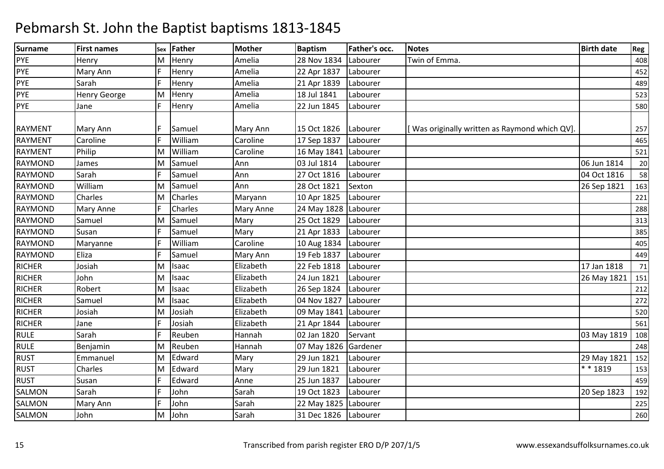| <b>Surname</b> | <b>First names</b>  | Sex | <b>Father</b> | <b>Mother</b>    | <b>Baptism</b> | Father's occ. | <b>Notes</b>                                 | <b>Birth date</b> | Reg |
|----------------|---------------------|-----|---------------|------------------|----------------|---------------|----------------------------------------------|-------------------|-----|
| PYE            | Henry               | M   | Henry         | Amelia           | 28 Nov 1834    | Labourer      | Twin of Emma.                                |                   | 408 |
| <b>PYE</b>     | Mary Ann            |     | Henry         | Amelia           | 22 Apr 1837    | Labourer      |                                              |                   | 452 |
| <b>PYE</b>     | Sarah               |     | Henry         | Amelia           | 21 Apr 1839    | Labourer      |                                              |                   | 489 |
| <b>PYE</b>     | <b>Henry George</b> | M   | Henry         | Amelia           | 18 Jul 1841    | Labourer      |                                              |                   | 523 |
| PYE            | Jane                |     | Henry         | Amelia           | 22 Jun 1845    | Labourer      |                                              |                   | 580 |
| <b>RAYMENT</b> | Mary Ann            |     | Samuel        | Mary Ann         | 15 Oct 1826    | Labourer      | Was originally written as Raymond which QV]. |                   | 257 |
| <b>RAYMENT</b> | Caroline            |     | William       | Caroline         | 17 Sep 1837    | Labourer      |                                              |                   | 465 |
| <b>RAYMENT</b> | Philip              | м   | William       | Caroline         | 16 May 1841    | Labourer      |                                              |                   | 521 |
| <b>RAYMOND</b> | James               | м   | Samuel        | Ann              | 03 Jul 1814    | Labourer      |                                              | 06 Jun 1814       | 20  |
| <b>RAYMOND</b> | Sarah               |     | Samuel        | Ann              | 27 Oct 1816    | Labourer      |                                              | 04 Oct 1816       | 58  |
| <b>RAYMOND</b> | William             | M   | Samuel        | Ann              | 28 Oct 1821    | Sexton        |                                              | 26 Sep 1821       | 163 |
| <b>RAYMOND</b> | Charles             | M   | Charles       | Maryann          | 10 Apr 1825    | Labourer      |                                              |                   | 221 |
| <b>RAYMOND</b> | Mary Anne           |     | Charles       | <b>Mary Anne</b> | 24 May 1828    | Labourer      |                                              |                   | 288 |
| <b>RAYMOND</b> | Samuel              | М   | Samuel        | Mary             | 25 Oct 1829    | Labourer      |                                              |                   | 313 |
| <b>RAYMOND</b> | Susan               |     | Samuel        | Mary             | 21 Apr 1833    | Labourer      |                                              |                   | 385 |
| <b>RAYMOND</b> | Maryanne            |     | William       | Caroline         | 10 Aug 1834    | Labourer      |                                              |                   | 405 |
| <b>RAYMOND</b> | Eliza               |     | Samuel        | Mary Ann         | 19 Feb 1837    | Labourer      |                                              |                   | 449 |
| <b>RICHER</b>  | Josiah              | M   | Isaac         | Elizabeth        | 22 Feb 1818    | Labourer      |                                              | 17 Jan 1818       | 71  |
| <b>RICHER</b>  | John                | M   | Isaac         | Elizabeth        | 24 Jun 1821    | Labourer      |                                              | 26 May 1821       | 151 |
| <b>RICHER</b>  | Robert              | М   | Isaac         | Elizabeth        | 26 Sep 1824    | Labourer      |                                              |                   | 212 |
| <b>RICHER</b>  | Samuel              | М   | Isaac         | Elizabeth        | 04 Nov 1827    | Labourer      |                                              |                   | 272 |
| <b>RICHER</b>  | Josiah              | м   | Josiah        | Elizabeth        | 09 May 1841    | Labourer      |                                              |                   | 520 |
| <b>RICHER</b>  | Jane                |     | Josiah        | Elizabeth        | 21 Apr 1844    | Labourer      |                                              |                   | 561 |
| <b>RULE</b>    | Sarah               |     | Reuben        | Hannah           | 02 Jan 1820    | Servant       |                                              | 03 May 1819       | 108 |
| <b>RULE</b>    | Benjamin            | M   | Reuben        | Hannah           | 07 May 1826    | Gardener      |                                              |                   | 248 |
| <b>RUST</b>    | Emmanuel            | M   | Edward        | Mary             | 29 Jun 1821    | Labourer      |                                              | 29 May 1821       | 152 |
| <b>RUST</b>    | Charles             | M   | Edward        | Mary             | 29 Jun 1821    | Labourer      |                                              | $* * 1819$        | 153 |
| <b>RUST</b>    | Susan               |     | Edward        | Anne             | 25 Jun 1837    | Labourer      |                                              |                   | 459 |
| <b>SALMON</b>  | Sarah               |     | John          | Sarah            | 19 Oct 1823    | Labourer      |                                              | 20 Sep 1823       | 192 |
| <b>SALMON</b>  | Mary Ann            |     | John          | Sarah            | 22 May 1825    | Labourer      |                                              |                   | 225 |
| SALMON         | John                | M   | John          | Sarah            | 31 Dec 1826    | Labourer      |                                              |                   | 260 |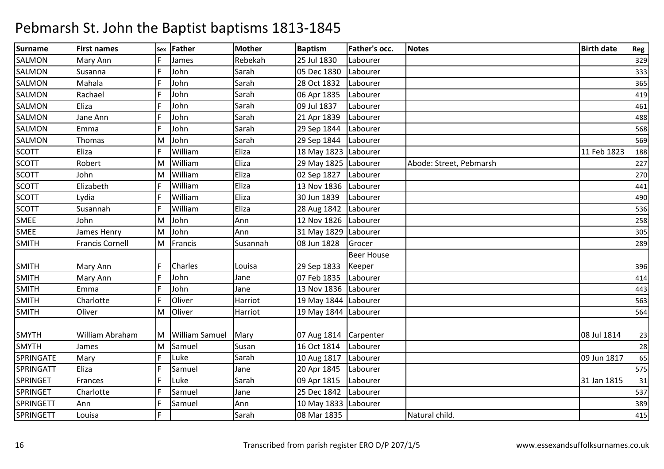| <b>Surname</b>   | <b>First names</b>     | Sex | <b>Father</b>         | <b>Mother</b> | <b>Baptism</b>       | Father's occ.     | <b>Notes</b>            | <b>Birth date</b> | Reg |
|------------------|------------------------|-----|-----------------------|---------------|----------------------|-------------------|-------------------------|-------------------|-----|
| <b>SALMON</b>    | Mary Ann               |     | James                 | Rebekah       | 25 Jul 1830          | Labourer          |                         |                   | 329 |
| <b>SALMON</b>    | Susanna                |     | John                  | Sarah         | 05 Dec 1830          | Labourer          |                         |                   | 333 |
| <b>SALMON</b>    | Mahala                 |     | John                  | Sarah         | 28 Oct 1832          | Labourer          |                         |                   | 365 |
| <b>SALMON</b>    | Rachael                |     | John                  | Sarah         | 06 Apr 1835          | Labourer          |                         |                   | 419 |
| <b>SALMON</b>    | Eliza                  |     | John                  | Sarah         | 09 Jul 1837          | Labourer          |                         |                   | 461 |
| <b>SALMON</b>    | Jane Ann               |     | John                  | Sarah         | 21 Apr 1839          | Labourer          |                         |                   | 488 |
| <b>SALMON</b>    | Emma                   |     | John                  | Sarah         | 29 Sep 1844          | Labourer          |                         |                   | 568 |
| <b>SALMON</b>    | Thomas                 | M   | John                  | Sarah         | 29 Sep 1844          | Labourer          |                         |                   | 569 |
| <b>SCOTT</b>     | Eliza                  |     | William               | Eliza         | 18 May 1823 Labourer |                   |                         | 11 Feb 1823       | 188 |
| <b>SCOTT</b>     | Robert                 | M   | William               | Eliza         | 29 May 1825 Labourer |                   | Abode: Street, Pebmarsh |                   | 227 |
| <b>SCOTT</b>     | John                   | M   | William               | Eliza         | 02 Sep 1827          | Labourer          |                         |                   | 270 |
| <b>SCOTT</b>     | Elizabeth              |     | William               | Eliza         | 13 Nov 1836          | Labourer          |                         |                   | 441 |
| <b>SCOTT</b>     | Lydia                  |     | William               | Eliza         | 30 Jun 1839          | Labourer          |                         |                   | 490 |
| <b>SCOTT</b>     | Susannah               |     | William               | Eliza         | 28 Aug 1842          | Labourer          |                         |                   | 536 |
| SMEE             | John                   | м   | John                  | Ann           | 12 Nov 1826          | Labourer          |                         |                   | 258 |
| SMEE             | James Henry            | м   | John                  | Ann           | 31 May 1829 Labourer |                   |                         |                   | 305 |
| <b>SMITH</b>     | <b>Francis Cornell</b> | M   | Francis               | Susannah      | 08 Jun 1828          | Grocer            |                         |                   | 289 |
|                  |                        |     |                       |               |                      | <b>Beer House</b> |                         |                   |     |
| <b>SMITH</b>     | Mary Ann               |     | Charles               | Louisa        | 29 Sep 1833          | Keeper            |                         |                   | 396 |
| <b>SMITH</b>     | Mary Ann               |     | John                  | Jane          | 07 Feb 1835          | Labourer          |                         |                   | 414 |
| <b>SMITH</b>     | Emma                   |     | John                  | Jane          | 13 Nov 1836          | Labourer          |                         |                   | 443 |
| <b>SMITH</b>     | Charlotte              |     | Oliver                | Harriot       | 19 May 1844 Labourer |                   |                         |                   | 563 |
| <b>SMITH</b>     | Oliver                 | M   | Oliver                | Harriot       | 19 May 1844 Labourer |                   |                         |                   | 564 |
|                  |                        |     |                       |               |                      |                   |                         |                   |     |
| <b>SMYTH</b>     | William Abraham        | M   | <b>William Samuel</b> | Mary          | 07 Aug 1814          | Carpenter         |                         | 08 Jul 1814       | 23  |
| <b>SMYTH</b>     | James                  | M   | Samuel                | Susan         | 16 Oct 1814          | Labourer          |                         |                   | 28  |
| SPRINGATE        | Mary                   |     | Luke                  | Sarah         | 10 Aug 1817          | Labourer          |                         | 09 Jun 1817       | 65  |
| SPRINGATT        | Eliza                  |     | Samuel                | Jane          | 20 Apr 1845          | Labourer          |                         |                   | 575 |
| <b>SPRINGET</b>  | Frances                |     | Luke                  | Sarah         | 09 Apr 1815          | Labourer          |                         | 31 Jan 1815       | 31  |
| SPRINGET         | Charlotte              |     | Samuel                | Jane          | 25 Dec 1842          | Labourer          |                         |                   | 537 |
| SPRINGETT        | Ann                    |     | Samuel                | Ann           | 10 May 1833 Labourer |                   |                         |                   | 389 |
| <b>SPRINGETT</b> | Louisa                 |     |                       | Sarah         | 08 Mar 1835          |                   | Natural child.          |                   | 415 |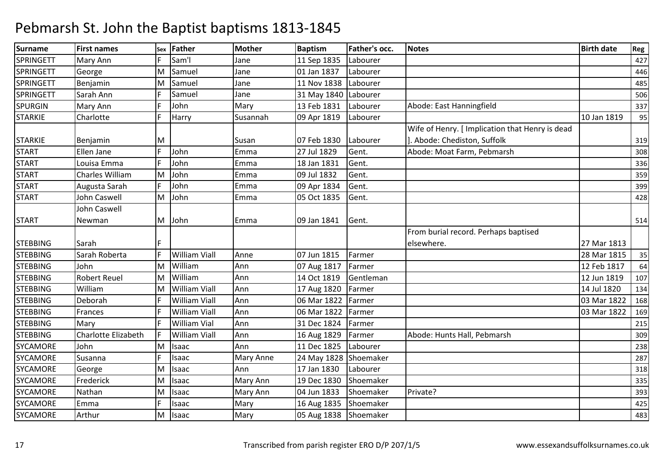| <b>Surname</b>   | <b>First names</b>     | Sex | Father               | Mother           | <b>Baptism</b>       | Father's occ. | <b>Notes</b>                                    | <b>Birth date</b> | Reg |
|------------------|------------------------|-----|----------------------|------------------|----------------------|---------------|-------------------------------------------------|-------------------|-----|
| <b>SPRINGETT</b> | Mary Ann               |     | Sam'l                | Jane             | 11 Sep 1835          | Labourer      |                                                 |                   | 427 |
| <b>SPRINGETT</b> | George                 | M   | Samuel               | Jane             | 01 Jan 1837          | Labourer      |                                                 |                   | 446 |
| <b>SPRINGETT</b> | Benjamin               | м   | Samuel               | Jane             | 11 Nov 1838          | Labourer      |                                                 |                   | 485 |
| SPRINGETT        | Sarah Ann              |     | Samuel               | Jane             | 31 May 1840 Labourer |               |                                                 |                   | 506 |
| <b>SPURGIN</b>   | Mary Ann               |     | John                 | Mary             | 13 Feb 1831          | Labourer      | Abode: East Hanningfield                        |                   | 337 |
| <b>STARKIE</b>   | Charlotte              | F   | Harry                | Susannah         | 09 Apr 1819          | Labourer      |                                                 | 10 Jan 1819       | 95  |
|                  |                        |     |                      |                  |                      |               | Wife of Henry. [ Implication that Henry is dead |                   |     |
| <b>STARKIE</b>   | Benjamin               | M   |                      | Susan            | 07 Feb 1830          | Labourer      | . Abode: Chediston, Suffolk                     |                   | 319 |
| <b>START</b>     | Ellen Jane             |     | John                 | Emma             | 27 Jul 1829          | Gent.         | Abode: Moat Farm, Pebmarsh                      |                   | 308 |
| <b>START</b>     | Louisa Emma            |     | John                 | Emma             | 18 Jan 1831          | Gent.         |                                                 |                   | 336 |
| <b>START</b>     | <b>Charles William</b> | M   | John                 | Emma             | 09 Jul 1832          | Gent.         |                                                 |                   | 359 |
| <b>START</b>     | Augusta Sarah          |     | John                 | Emma             | 09 Apr 1834          | Gent.         |                                                 |                   | 399 |
| <b>START</b>     | John Caswell           | M   | John                 | Emma             | 05 Oct 1835          | Gent.         |                                                 |                   | 428 |
|                  | John Caswell           |     |                      |                  |                      |               |                                                 |                   |     |
| <b>START</b>     | Newman                 | M   | John                 | Emma             | 09 Jan 1841          | Gent.         |                                                 |                   | 514 |
|                  |                        |     |                      |                  |                      |               | From burial record. Perhaps baptised            |                   |     |
| <b>STEBBING</b>  | Sarah                  |     |                      |                  |                      |               | elsewhere.                                      | 27 Mar 1813       |     |
| <b>STEBBING</b>  | Sarah Roberta          |     | <b>William Viall</b> | Anne             | 07 Jun 1815          | Farmer        |                                                 | 28 Mar 1815       | 35  |
| <b>STEBBING</b>  | John                   | M   | William              | Ann              | 07 Aug 1817          | Farmer        |                                                 | 12 Feb 1817       | 64  |
| <b>STEBBING</b>  | <b>Robert Reuel</b>    | M   | William              | Ann              | 14 Oct 1819          | Gentleman     |                                                 | 12 Jun 1819       | 107 |
| <b>STEBBING</b>  | William                | M   | <b>William Viall</b> | Ann              | 17 Aug 1820          | Farmer        |                                                 | 14 Jul 1820       | 134 |
| <b>STEBBING</b>  | Deborah                |     | <b>William Viall</b> | Ann              | 06 Mar 1822          | Farmer        |                                                 | 03 Mar 1822       | 168 |
| <b>STEBBING</b>  | Frances                |     | <b>William Viall</b> | Ann              | 06 Mar 1822          | Farmer        |                                                 | 03 Mar 1822       | 169 |
| <b>STEBBING</b>  | Mary                   |     | <b>William Vial</b>  | Ann              | 31 Dec 1824          | Farmer        |                                                 |                   | 215 |
| <b>STEBBING</b>  | Charlotte Elizabeth    |     | <b>William Viall</b> | Ann              | 16 Aug 1829          | Farmer        | Abode: Hunts Hall, Pebmarsh                     |                   | 309 |
| <b>SYCAMORE</b>  | John                   | M   | Isaac                | Ann              | 11 Dec 1825          | Labourer      |                                                 |                   | 238 |
| <b>SYCAMORE</b>  | Susanna                |     | Isaac                | <b>Mary Anne</b> | 24 May 1828          | Shoemaker     |                                                 |                   | 287 |
| SYCAMORE         | George                 | M   | Isaac                | Ann              | 17 Jan 1830          | Labourer      |                                                 |                   | 318 |
| <b>SYCAMORE</b>  | Frederick              | M   | Isaac                | Mary Ann         | 19 Dec 1830          | Shoemaker     |                                                 |                   | 335 |
| SYCAMORE         | Nathan                 | M   | Isaac                | Mary Ann         | 04 Jun 1833          | Shoemaker     | Private?                                        |                   | 393 |
| <b>SYCAMORE</b>  | Emma                   |     | Isaac                | Mary             | 16 Aug 1835          | Shoemaker     |                                                 |                   | 425 |
| <b>SYCAMORE</b>  | Arthur                 | M   | Isaac                | Mary             | 05 Aug 1838          | Shoemaker     |                                                 |                   | 483 |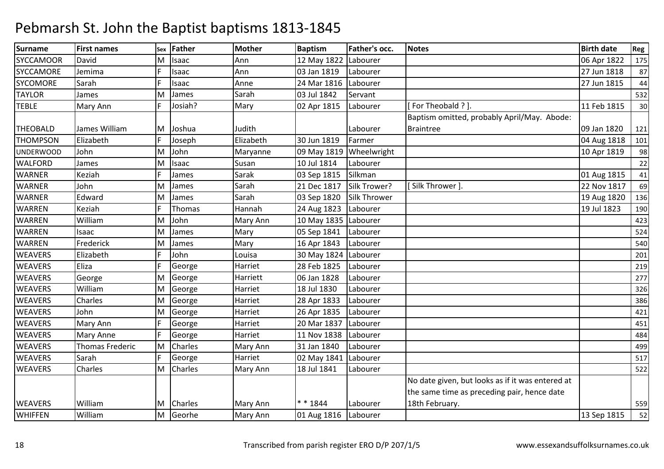| Surname          | <b>First names</b>     | Sex | Father         | Mother    | <b>Baptism</b>       | <b>Father's occ.</b> | <b>Notes</b>                                     | <b>Birth date</b> | Reg |
|------------------|------------------------|-----|----------------|-----------|----------------------|----------------------|--------------------------------------------------|-------------------|-----|
| <b>SYCCAMOOR</b> | David                  | M   | Isaac          | Ann       | 12 May 1822          | Labourer             |                                                  | 06 Apr 1822       | 175 |
| SYCCAMORE        | Jemima                 | F.  | Isaac          | Ann       | 03 Jan 1819          | Labourer             |                                                  | 27 Jun 1818       | 87  |
| <b>SYCOMORE</b>  | Sarah                  | F.  | Isaac          | Anne      | 24 Mar 1816          | Labourer             |                                                  | 27 Jun 1815       | 44  |
| <b>TAYLOR</b>    | James                  | M   | James          | Sarah     | 03 Jul 1842          | Servant              |                                                  |                   | 532 |
| <b>TEBLE</b>     | Mary Ann               | F.  | Josiah?        | Mary      | 02 Apr 1815          | Labourer             | For Theobald ? ].                                | 11 Feb 1815       | 30  |
|                  |                        |     |                |           |                      |                      | Baptism omitted, probably April/May. Abode:      |                   |     |
| <b>THEOBALD</b>  | James William          | M   | Joshua         | Judith    |                      | Labourer             | Braintree                                        | 09 Jan 1820       | 121 |
| <b>THOMPSON</b>  | Elizabeth              |     | Joseph         | Elizabeth | 30 Jun 1819          | Farmer               |                                                  | 04 Aug 1818       | 101 |
| <b>UNDERWOOD</b> | John                   | M   | John           | Maryanne  | 09 May 1819          | Wheelwright          |                                                  | 10 Apr 1819       | 98  |
| <b>WALFORD</b>   | James                  | M   | Isaac          | Susan     | 10 Jul 1814          | Labourer             |                                                  |                   | 22  |
| <b>WARNER</b>    | Keziah                 | F   | James          | Sarak     | 03 Sep 1815          | Silkman              |                                                  | 01 Aug 1815       | 41  |
| <b>WARNER</b>    | John                   | M   | James          | Sarah     | 21 Dec 1817          | Silk Trower?         | [Silk Thrower]                                   | 22 Nov 1817       | 69  |
| <b>WARNER</b>    | Edward                 | M   | James          | Sarah     | 03 Sep 1820          | Silk Thrower         |                                                  | 19 Aug 1820       | 136 |
| <b>WARREN</b>    | Keziah                 | F.  | Thomas         | Hannah    | 24 Aug 1823          | Labourer             |                                                  | 19 Jul 1823       | 190 |
| <b>WARREN</b>    | William                | M   | John           | Mary Ann  | 10 May 1835 Labourer |                      |                                                  |                   | 423 |
| <b>WARREN</b>    | Isaac                  | M   | James          | Mary      | 05 Sep 1841          | Labourer             |                                                  |                   | 524 |
| <b>WARREN</b>    | Frederick              | M   | James          | Mary      | 16 Apr 1843          | Labourer             |                                                  |                   | 540 |
| <b>WEAVERS</b>   | Elizabeth              | F.  | John           | Louisa    | 30 May 1824 Labourer |                      |                                                  |                   | 201 |
| <b>WEAVERS</b>   | Eliza                  | F.  | George         | Harriet   | 28 Feb 1825          | Labourer             |                                                  |                   | 219 |
| <b>WEAVERS</b>   | George                 | M   | George         | Harriett  | 06 Jan 1828          | Labourer             |                                                  |                   | 277 |
| <b>WEAVERS</b>   | William                | M   | George         | Harriet   | 18 Jul 1830          | Labourer             |                                                  |                   | 326 |
| <b>WEAVERS</b>   | Charles                | M   | George         | Harriet   | 28 Apr 1833          | Labourer             |                                                  |                   | 386 |
| <b>WEAVERS</b>   | John                   | M   | George         | Harriet   | 26 Apr 1835          | Labourer             |                                                  |                   | 421 |
| <b>WEAVERS</b>   | Mary Ann               | F.  | George         | Harriet   | 20 Mar 1837          | Labourer             |                                                  |                   | 451 |
| <b>WEAVERS</b>   | Mary Anne              |     | George         | Harriet   | 11 Nov 1838          | Labourer             |                                                  |                   | 484 |
| <b>WEAVERS</b>   | <b>Thomas Frederic</b> | M   | Charles        | Mary Ann  | 31 Jan 1840          | Labourer             |                                                  |                   | 499 |
| <b>WEAVERS</b>   | Sarah                  | F.  | George         | Harriet   | 02 May 1841          | Labourer             |                                                  |                   | 517 |
| <b>WEAVERS</b>   | Charles                | M   | Charles        | Mary Ann  | 18 Jul 1841          | Labourer             |                                                  |                   | 522 |
|                  |                        |     |                |           |                      |                      | No date given, but looks as if it was entered at |                   |     |
|                  |                        |     |                |           |                      |                      | the same time as preceding pair, hence date      |                   |     |
| <b>WEAVERS</b>   | William                | M   | <b>Charles</b> | Mary Ann  | $* * 1844$           | Labourer             | 18th February.                                   |                   | 559 |
| <b>WHIFFEN</b>   | William                | M   | Georhe         | Mary Ann  | 01 Aug 1816 Labourer |                      |                                                  | 13 Sep 1815       | 52  |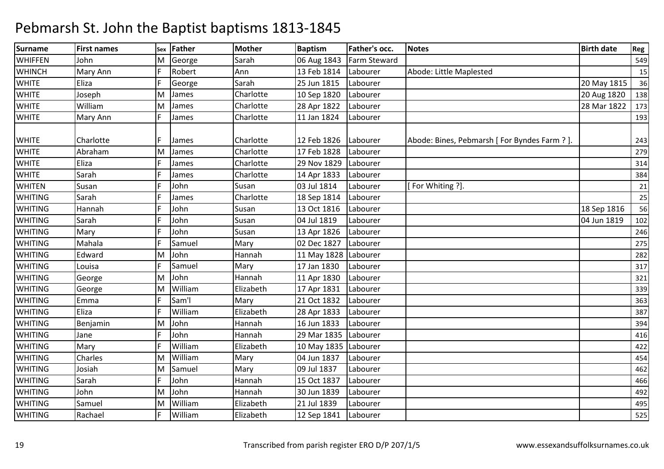| <b>Surname</b> | <b>First names</b> | Sex | <b>Father</b> | <b>Mother</b> | <b>Baptism</b> | Father's occ. | <b>Notes</b>                                  | <b>Birth date</b> | Reg |
|----------------|--------------------|-----|---------------|---------------|----------------|---------------|-----------------------------------------------|-------------------|-----|
| <b>WHIFFEN</b> | John               | м   | George        | Sarah         | 06 Aug 1843    | Farm Steward  |                                               |                   | 549 |
| <b>WHINCH</b>  | Mary Ann           |     | Robert        | Ann           | 13 Feb 1814    | Labourer      | Abode: Little Maplested                       |                   | 15  |
| <b>WHITE</b>   | Eliza              |     | George        | Sarah         | 25 Jun 1815    | Labourer      |                                               | 20 May 1815       | 36  |
| <b>WHITE</b>   | Joseph             | M   | James         | Charlotte     | 10 Sep 1820    | Labourer      |                                               | 20 Aug 1820       | 138 |
| <b>WHITE</b>   | William            | M   | James         | Charlotte     | 28 Apr 1822    | Labourer      |                                               | 28 Mar 1822       | 173 |
| <b>WHITE</b>   | Mary Ann           |     | James         | Charlotte     | 11 Jan 1824    | Labourer      |                                               |                   | 193 |
|                |                    |     |               |               |                |               |                                               |                   |     |
| <b>WHITE</b>   | Charlotte          |     | James         | Charlotte     | 12 Feb 1826    | Labourer      | Abode: Bines, Pebmarsh [ For Byndes Farm ? ]. |                   | 243 |
| <b>WHITE</b>   | Abraham            | M   | James         | Charlotte     | 17 Feb 1828    | Labourer      |                                               |                   | 279 |
| <b>WHITE</b>   | Eliza              |     | James         | Charlotte     | 29 Nov 1829    | Labourer      |                                               |                   | 314 |
| <b>WHITE</b>   | Sarah              |     | James         | Charlotte     | 14 Apr 1833    | Labourer      |                                               |                   | 384 |
| <b>WHITEN</b>  | Susan              |     | John          | Susan         | 03 Jul 1814    | Labourer      | [For Whiting ?].                              |                   | 21  |
| <b>WHITING</b> | Sarah              |     | James         | Charlotte     | 18 Sep 1814    | Labourer      |                                               |                   | 25  |
| <b>WHITING</b> | Hannah             |     | John          | Susan         | 13 Oct 1816    | Labourer      |                                               | 18 Sep 1816       | 56  |
| <b>WHITING</b> | Sarah              |     | John          | Susan         | 04 Jul 1819    | Labourer      |                                               | 04 Jun 1819       | 102 |
| <b>WHITING</b> | Mary               |     | John          | Susan         | 13 Apr 1826    | Labourer      |                                               |                   | 246 |
| <b>WHITING</b> | Mahala             |     | Samuel        | Mary          | 02 Dec 1827    | Labourer      |                                               |                   | 275 |
| <b>WHITING</b> | Edward             | M   | John          | Hannah        | 11 May 1828    | Labourer      |                                               |                   | 282 |
| <b>WHITING</b> | Louisa             |     | Samuel        | Mary          | 17 Jan 1830    | Labourer      |                                               |                   | 317 |
| <b>WHITING</b> | George             | M   | John          | Hannah        | 11 Apr 1830    | Labourer      |                                               |                   | 321 |
| <b>WHITING</b> | George             | M   | William       | Elizabeth     | 17 Apr 1831    | Labourer      |                                               |                   | 339 |
| <b>WHITING</b> | Emma               |     | Sam'l         | Mary          | 21 Oct 1832    | Labourer      |                                               |                   | 363 |
| <b>WHITING</b> | Eliza              |     | William       | Elizabeth     | 28 Apr 1833    | Labourer      |                                               |                   | 387 |
| <b>WHITING</b> | Benjamin           | M   | John          | Hannah        | 16 Jun 1833    | Labourer      |                                               |                   | 394 |
| <b>WHITING</b> | Jane               |     | John          | Hannah        | 29 Mar 1835    | Labourer      |                                               |                   | 416 |
| <b>WHITING</b> | Mary               |     | William       | Elizabeth     | 10 May 1835    | Labourer      |                                               |                   | 422 |
| <b>WHITING</b> | Charles            | M   | William       | Mary          | 04 Jun 1837    | Labourer      |                                               |                   | 454 |
| <b>WHITING</b> | Josiah             | M   | Samuel        | Mary          | 09 Jul 1837    | Labourer      |                                               |                   | 462 |
| <b>WHITING</b> | Sarah              |     | John          | Hannah        | 15 Oct 1837    | Labourer      |                                               |                   | 466 |
| <b>WHITING</b> | John               | M   | John          | Hannah        | 30 Jun 1839    | Labourer      |                                               |                   | 492 |
| <b>WHITING</b> | Samuel             | M   | William       | Elizabeth     | 21 Jul 1839    | Labourer      |                                               |                   | 495 |
| <b>WHITING</b> | Rachael            |     | William       | Elizabeth     | 12 Sep 1841    | Labourer      |                                               |                   | 525 |